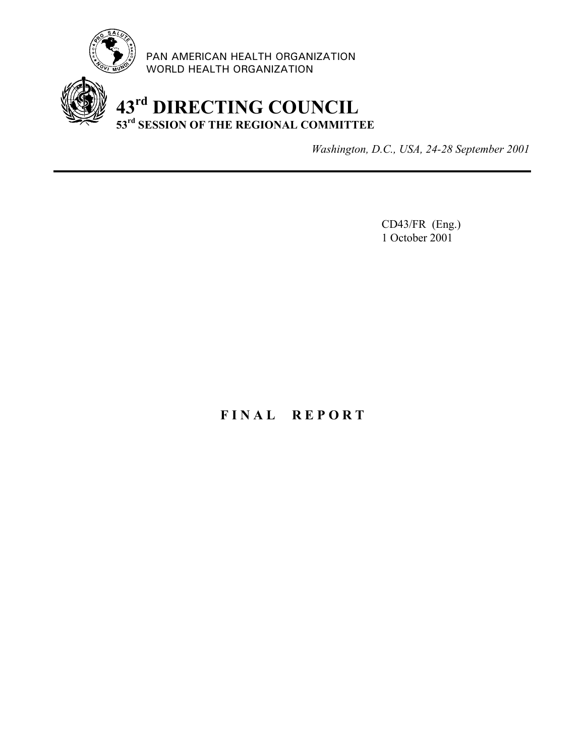

PAN AMERICAN HEALTH ORGANIZATION WORLD HEALTH ORGANIZATION

# **43rd DIRECTING COUNCIL 53rd SESSION OF THE REGIONAL COMMITTEE**

*Washington, D.C., USA, 24-28 September 2001*

CD43/FR (Eng.) 1 October 2001

# **F I N A L R E P O R T**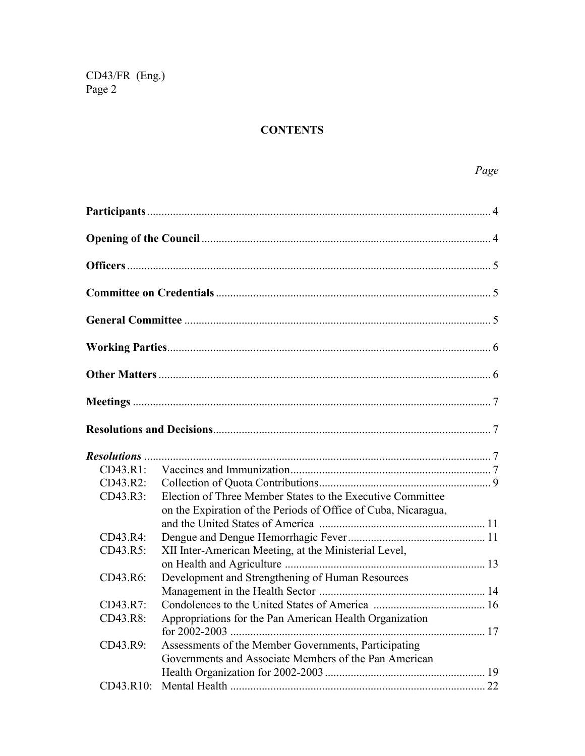# **CONTENTS**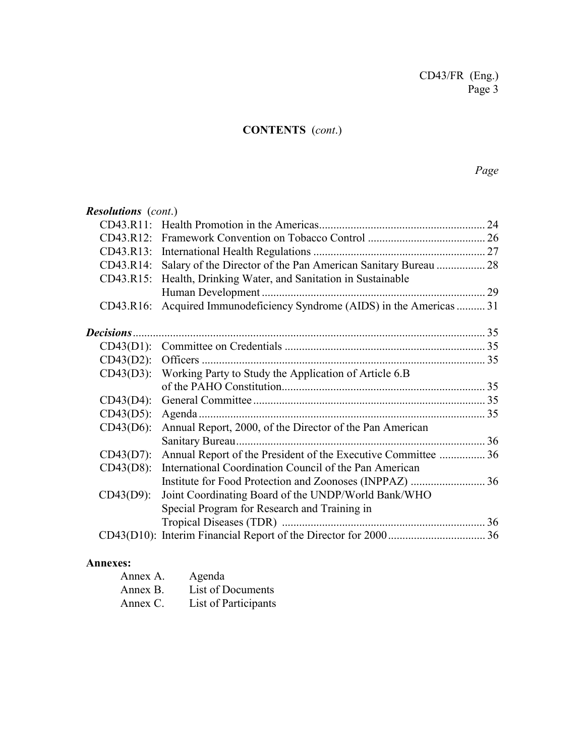# **CONTENTS** (*cont*.)

# *Page*

| <b>Resolutions</b> (cont.) |                                                                 |  |
|----------------------------|-----------------------------------------------------------------|--|
|                            |                                                                 |  |
|                            |                                                                 |  |
|                            |                                                                 |  |
| CD43.R14:                  | Salary of the Director of the Pan American Sanitary Bureau  28  |  |
|                            | CD43.R15: Health, Drinking Water, and Sanitation in Sustainable |  |
|                            |                                                                 |  |
| CD43.R16:                  | Acquired Immunodeficiency Syndrome (AIDS) in the Americas  31   |  |
|                            |                                                                 |  |
|                            |                                                                 |  |
| $CD43(D2)$ :               |                                                                 |  |
|                            | CD43(D3): Working Party to Study the Application of Article 6.B |  |
|                            |                                                                 |  |
| $CD43(D4)$ :               |                                                                 |  |
| $CD43(D5)$ :               |                                                                 |  |
| $CD43(D6)$ :               | Annual Report, 2000, of the Director of the Pan American        |  |
|                            |                                                                 |  |
| $CD43(D7)$ :               | Annual Report of the President of the Executive Committee  36   |  |
| $CD43(D8)$ :               | International Coordination Council of the Pan American          |  |
|                            |                                                                 |  |
| $CD43(D9)$ :               | Joint Coordinating Board of the UNDP/World Bank/WHO             |  |
|                            | Special Program for Research and Training in                    |  |
|                            |                                                                 |  |
|                            |                                                                 |  |
|                            |                                                                 |  |

### **Annexes:**

| Annex A. | Agenda               |
|----------|----------------------|
| Annex B. | List of Documents    |
| Annex C. | List of Participants |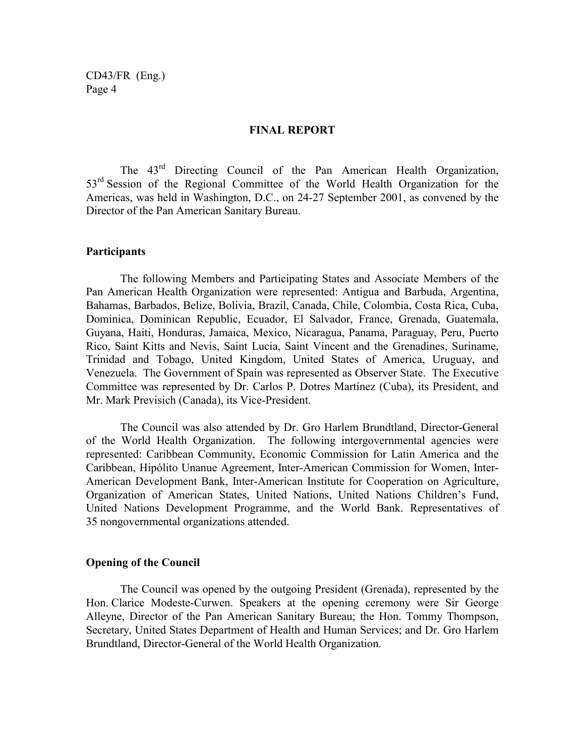#### **FINAL REPORT**

The 43rd Directing Council of the Pan American Health Organization, 53<sup>rd</sup> Session of the Regional Committee of the World Health Organization for the Americas, was held in Washington, D.C., on 24-27 September 2001, as convened by the Director of the Pan American Sanitary Bureau.

#### **Participants**

The following Members and Participating States and Associate Members of the Pan American Health Organization were represented: Antigua and Barbuda, Argentina, Bahamas, Barbados, Belize, Bolivia, Brazil, Canada, Chile, Colombia, Costa Rica, Cuba, Dominica, Dominican Republic, Ecuador, El Salvador, France, Grenada, Guatemala, Guyana, Haiti, Honduras, Jamaica, Mexico, Nicaragua, Panama, Paraguay, Peru, Puerto Rico, Saint Kitts and Nevis, Saint Lucia, Saint Vincent and the Grenadines, Suriname, Trinidad and Tobago, United Kingdom, United States of America, Uruguay, and Venezuela. The Government of Spain was represented as Observer State. The Executive Committee was represented by Dr. Carlos P. Dotres Martínez (Cuba), its President, and Mr. Mark Previsich (Canada), its Vice-President.

The Council was also attended by Dr. Gro Harlem Brundtland, Director-General of the World Health Organization. The following intergovernmental agencies were represented: Caribbean Community, Economic Commission for Latin America and the Caribbean, Hipólito Unanue Agreement, Inter-American Commission for Women, Inter-American Development Bank, Inter-American Institute for Cooperation on Agriculture, Organization of American States, United Nations, United Nations Children's Fund, United Nations Development Programme, and the World Bank. Representatives of 35 nongovernmental organizations attended.

#### **Opening of the Council**

The Council was opened by the outgoing President (Grenada), represented by the Hon. Clarice Modeste-Curwen. Speakers at the opening ceremony were Sir George Alleyne, Director of the Pan American Sanitary Bureau; the Hon. Tommy Thompson, Secretary, United States Department of Health and Human Services; and Dr. Gro Harlem Brundtland, Director-General of the World Health Organization.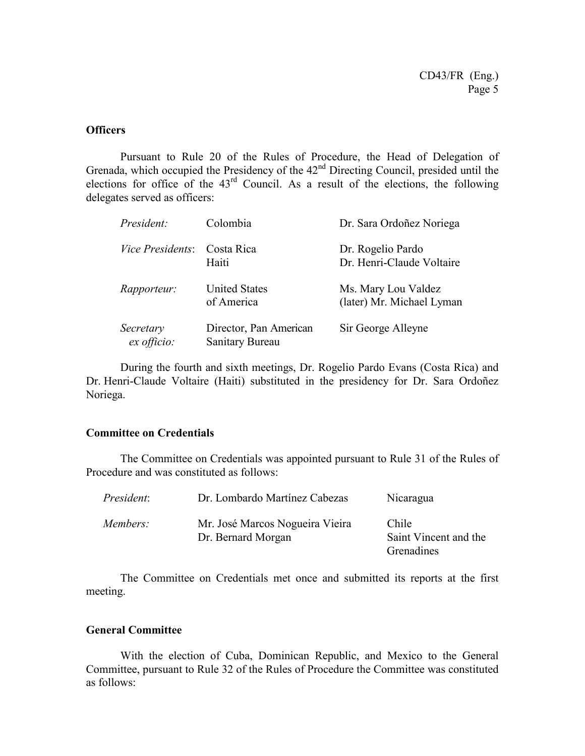#### **Officers**

Pursuant to Rule 20 of the Rules of Procedure, the Head of Delegation of Grenada, which occupied the Presidency of the  $42<sup>nd</sup>$  Directing Council, presided until the elections for office of the  $43<sup>rd</sup>$  Council. As a result of the elections, the following delegates served as officers:

| President:               | Colombia                                  | Dr. Sara Ordoñez Noriega                         |
|--------------------------|-------------------------------------------|--------------------------------------------------|
| <i>Vice Presidents:</i>  | Costa Rica<br>Haiti                       | Dr. Rogelio Pardo<br>Dr. Henri-Claude Voltaire   |
| <i>Rapporteur:</i>       | <b>United States</b><br>of America        | Ms. Mary Lou Valdez<br>(later) Mr. Michael Lyman |
| Secretary<br>ex officio: | Director, Pan American<br>Sanitary Bureau | Sir George Alleyne                               |

During the fourth and sixth meetings, Dr. Rogelio Pardo Evans (Costa Rica) and Dr. Henri-Claude Voltaire (Haiti) substituted in the presidency for Dr. Sara Ordoñez Noriega.

### **Committee on Credentials**

The Committee on Credentials was appointed pursuant to Rule 31 of the Rules of Procedure and was constituted as follows:

| <i>President:</i> | Dr. Lombardo Martínez Cabezas                         | Nicaragua                                    |
|-------------------|-------------------------------------------------------|----------------------------------------------|
| Members:          | Mr. José Marcos Nogueira Vieira<br>Dr. Bernard Morgan | Chile<br>Saint Vincent and the<br>Grenadines |

The Committee on Credentials met once and submitted its reports at the first meeting.

### **General Committee**

With the election of Cuba, Dominican Republic, and Mexico to the General Committee, pursuant to Rule 32 of the Rules of Procedure the Committee was constituted as follows: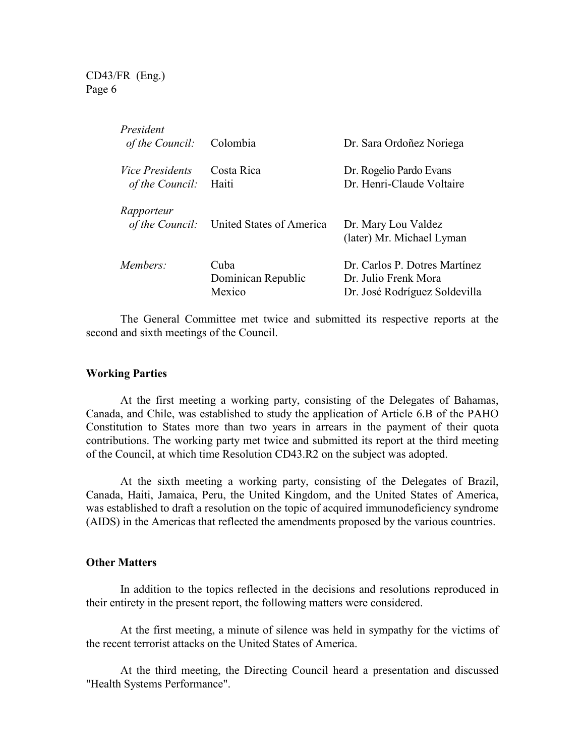| President<br>of the Council:              | Colombia                             | Dr. Sara Ordoñez Noriega                                                               |
|-------------------------------------------|--------------------------------------|----------------------------------------------------------------------------------------|
| <i>Vice Presidents</i><br>of the Council: | Costa Rica<br>Haiti                  | Dr. Rogelio Pardo Evans<br>Dr. Henri-Claude Voltaire                                   |
| Rapporteur<br>of the Council:             | United States of America             | Dr. Mary Lou Valdez<br>(later) Mr. Michael Lyman                                       |
| Members:                                  | Cuba<br>Dominican Republic<br>Mexico | Dr. Carlos P. Dotres Martínez<br>Dr. Julio Frenk Mora<br>Dr. José Rodríguez Soldevilla |

The General Committee met twice and submitted its respective reports at the second and sixth meetings of the Council.

#### **Working Parties**

At the first meeting a working party, consisting of the Delegates of Bahamas, Canada, and Chile, was established to study the application of Article 6.B of the PAHO Constitution to States more than two years in arrears in the payment of their quota contributions. The working party met twice and submitted its report at the third meeting of the Council, at which time Resolution CD43.R2 on the subject was adopted.

At the sixth meeting a working party, consisting of the Delegates of Brazil, Canada, Haiti, Jamaica, Peru, the United Kingdom, and the United States of America, was established to draft a resolution on the topic of acquired immunodeficiency syndrome (AIDS) in the Americas that reflected the amendments proposed by the various countries.

### **Other Matters**

In addition to the topics reflected in the decisions and resolutions reproduced in their entirety in the present report, the following matters were considered.

At the first meeting, a minute of silence was held in sympathy for the victims of the recent terrorist attacks on the United States of America.

At the third meeting, the Directing Council heard a presentation and discussed "Health Systems Performance".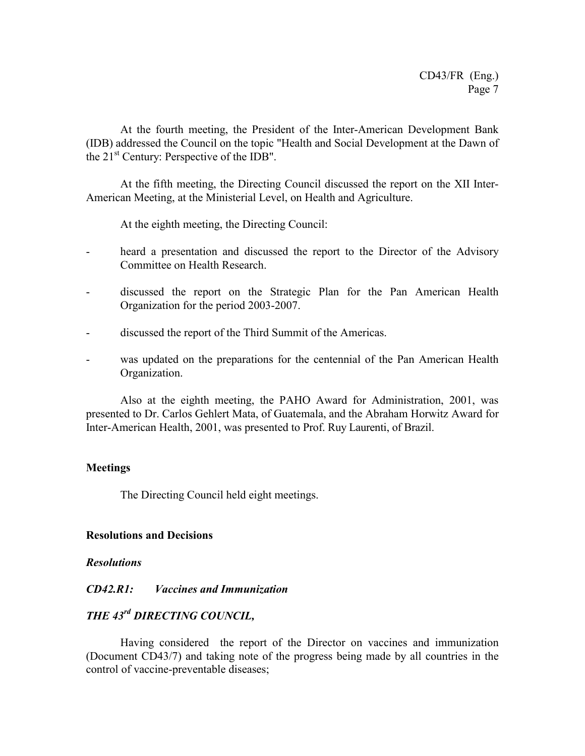At the fourth meeting, the President of the Inter-American Development Bank (IDB) addressed the Council on the topic "Health and Social Development at the Dawn of the  $21<sup>st</sup>$  Century: Perspective of the IDB".

At the fifth meeting, the Directing Council discussed the report on the XII Inter-American Meeting, at the Ministerial Level, on Health and Agriculture.

At the eighth meeting, the Directing Council:

- heard a presentation and discussed the report to the Director of the Advisory Committee on Health Research.
- discussed the report on the Strategic Plan for the Pan American Health Organization for the period 2003-2007.
- discussed the report of the Third Summit of the Americas.
- was updated on the preparations for the centennial of the Pan American Health Organization.

Also at the eighth meeting, the PAHO Award for Administration, 2001, was presented to Dr. Carlos Gehlert Mata, of Guatemala, and the Abraham Horwitz Award for Inter-American Health, 2001, was presented to Prof. Ruy Laurenti, of Brazil.

### **Meetings**

The Directing Council held eight meetings.

### **Resolutions and Decisions**

### *Resolutions*

### *CD42.R1: Vaccines and Immunization*

### *THE 43rd DIRECTING COUNCIL,*

Having considered the report of the Director on vaccines and immunization (Document CD43/7) and taking note of the progress being made by all countries in the control of vaccine-preventable diseases;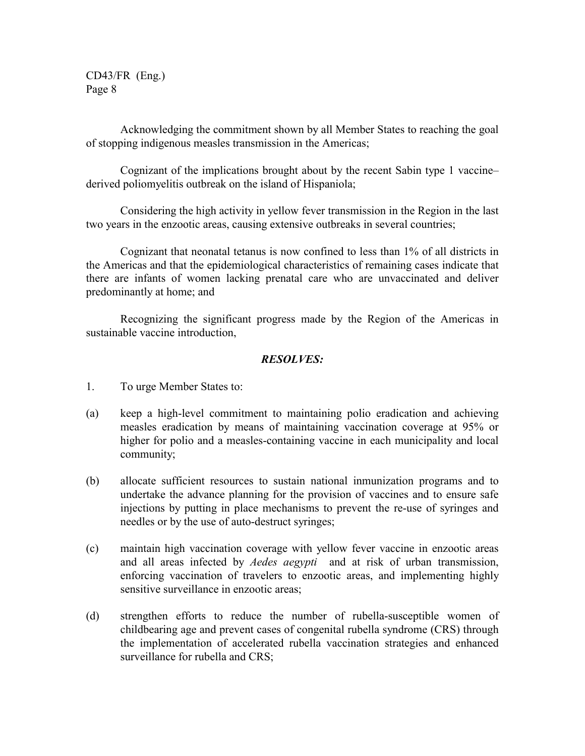Acknowledging the commitment shown by all Member States to reaching the goal of stopping indigenous measles transmission in the Americas;

Cognizant of the implications brought about by the recent Sabin type 1 vaccine– derived poliomyelitis outbreak on the island of Hispaniola;

Considering the high activity in yellow fever transmission in the Region in the last two years in the enzootic areas, causing extensive outbreaks in several countries;

Cognizant that neonatal tetanus is now confined to less than 1% of all districts in the Americas and that the epidemiological characteristics of remaining cases indicate that there are infants of women lacking prenatal care who are unvaccinated and deliver predominantly at home; and

Recognizing the significant progress made by the Region of the Americas in sustainable vaccine introduction,

- 1. To urge Member States to:
- (a) keep a high-level commitment to maintaining polio eradication and achieving measles eradication by means of maintaining vaccination coverage at 95% or higher for polio and a measles-containing vaccine in each municipality and local community;
- (b) allocate sufficient resources to sustain national inmunization programs and to undertake the advance planning for the provision of vaccines and to ensure safe injections by putting in place mechanisms to prevent the re-use of syringes and needles or by the use of auto-destruct syringes;
- (c) maintain high vaccination coverage with yellow fever vaccine in enzootic areas and all areas infected by *Aedes aegypti* and at risk of urban transmission, enforcing vaccination of travelers to enzootic areas, and implementing highly sensitive surveillance in enzootic areas;
- (d) strengthen efforts to reduce the number of rubella-susceptible women of childbearing age and prevent cases of congenital rubella syndrome (CRS) through the implementation of accelerated rubella vaccination strategies and enhanced surveillance for rubella and CRS;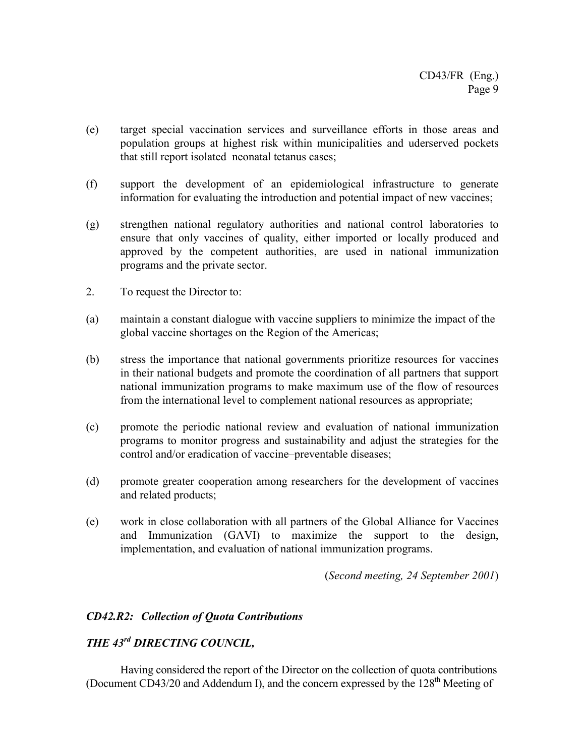- (e) target special vaccination services and surveillance efforts in those areas and population groups at highest risk within municipalities and uderserved pockets that still report isolated neonatal tetanus cases;
- (f) support the development of an epidemiological infrastructure to generate information for evaluating the introduction and potential impact of new vaccines;
- (g) strengthen national regulatory authorities and national control laboratories to ensure that only vaccines of quality, either imported or locally produced and approved by the competent authorities, are used in national immunization programs and the private sector.
- 2. To request the Director to:
- (a) maintain a constant dialogue with vaccine suppliers to minimize the impact of the global vaccine shortages on the Region of the Americas;
- (b) stress the importance that national governments prioritize resources for vaccines in their national budgets and promote the coordination of all partners that support national immunization programs to make maximum use of the flow of resources from the international level to complement national resources as appropriate;
- (c) promote the periodic national review and evaluation of national immunization programs to monitor progress and sustainability and adjust the strategies for the control and/or eradication of vaccine–preventable diseases;
- (d) promote greater cooperation among researchers for the development of vaccines and related products;
- (e) work in close collaboration with all partners of the Global Alliance for Vaccines and Immunization (GAVI) to maximize the support to the design, implementation, and evaluation of national immunization programs.

(*Second meeting, 24 September 2001*)

### *CD42.R2: Collection of Quota Contributions*

# *THE 43rd DIRECTING COUNCIL,*

Having considered the report of the Director on the collection of quota contributions (Document CD43/20 and Addendum I), and the concern expressed by the  $128<sup>th</sup>$  Meeting of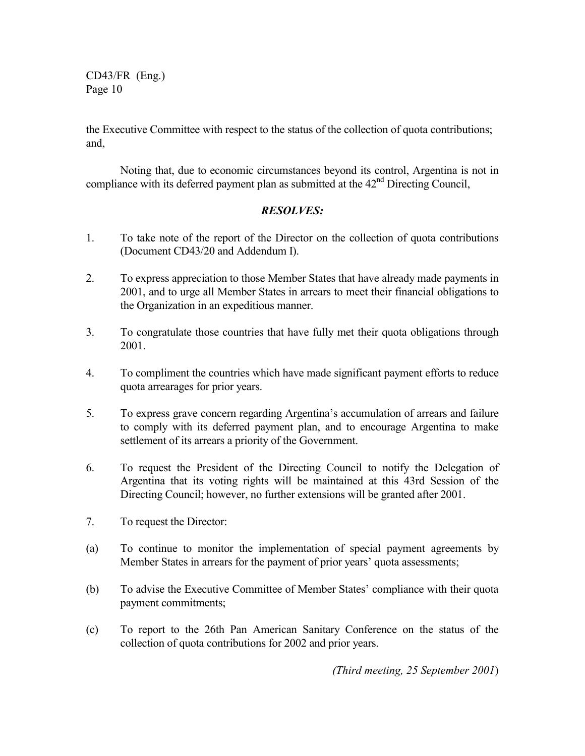the Executive Committee with respect to the status of the collection of quota contributions; and,

Noting that, due to economic circumstances beyond its control, Argentina is not in compliance with its deferred payment plan as submitted at the  $42<sup>nd</sup>$  Directing Council,

### *RESOLVES:*

- 1. To take note of the report of the Director on the collection of quota contributions (Document CD43/20 and Addendum I).
- 2. To express appreciation to those Member States that have already made payments in 2001, and to urge all Member States in arrears to meet their financial obligations to the Organization in an expeditious manner.
- 3. To congratulate those countries that have fully met their quota obligations through 2001.
- 4. To compliment the countries which have made significant payment efforts to reduce quota arrearages for prior years.
- 5. To express grave concern regarding Argentina's accumulation of arrears and failure to comply with its deferred payment plan, and to encourage Argentina to make settlement of its arrears a priority of the Government.
- 6. To request the President of the Directing Council to notify the Delegation of Argentina that its voting rights will be maintained at this 43rd Session of the Directing Council; however, no further extensions will be granted after 2001.
- 7. To request the Director:
- (a) To continue to monitor the implementation of special payment agreements by Member States in arrears for the payment of prior years' quota assessments;
- (b) To advise the Executive Committee of Member States' compliance with their quota payment commitments;
- (c) To report to the 26th Pan American Sanitary Conference on the status of the collection of quota contributions for 2002 and prior years.

*(Third meeting, 25 September 2001*)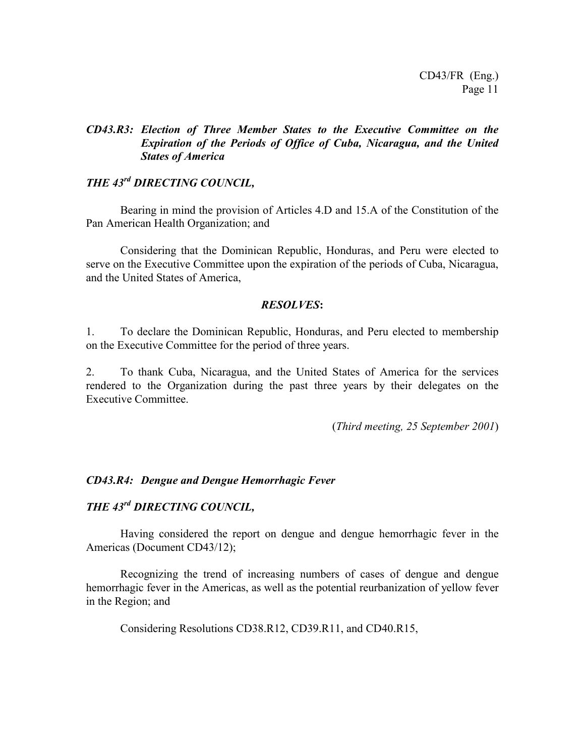### *CD43.R3: Election of Three Member States to the Executive Committee on the Expiration of the Periods of Office of Cuba, Nicaragua, and the United States of America*

### *THE 43rd DIRECTING COUNCIL,*

Bearing in mind the provision of Articles 4.D and 15.A of the Constitution of the Pan American Health Organization; and

Considering that the Dominican Republic, Honduras, and Peru were elected to serve on the Executive Committee upon the expiration of the periods of Cuba, Nicaragua, and the United States of America,

#### *RESOLVES***:**

1. To declare the Dominican Republic, Honduras, and Peru elected to membership on the Executive Committee for the period of three years.

2. To thank Cuba, Nicaragua, and the United States of America for the services rendered to the Organization during the past three years by their delegates on the Executive Committee.

(*Third meeting, 25 September 2001*)

### *CD43.R4: Dengue and Dengue Hemorrhagic Fever*

# *THE 43rd DIRECTING COUNCIL,*

Having considered the report on dengue and dengue hemorrhagic fever in the Americas (Document CD43/12);

Recognizing the trend of increasing numbers of cases of dengue and dengue hemorrhagic fever in the Americas, as well as the potential reurbanization of yellow fever in the Region; and

Considering Resolutions CD38.R12, CD39.R11, and CD40.R15,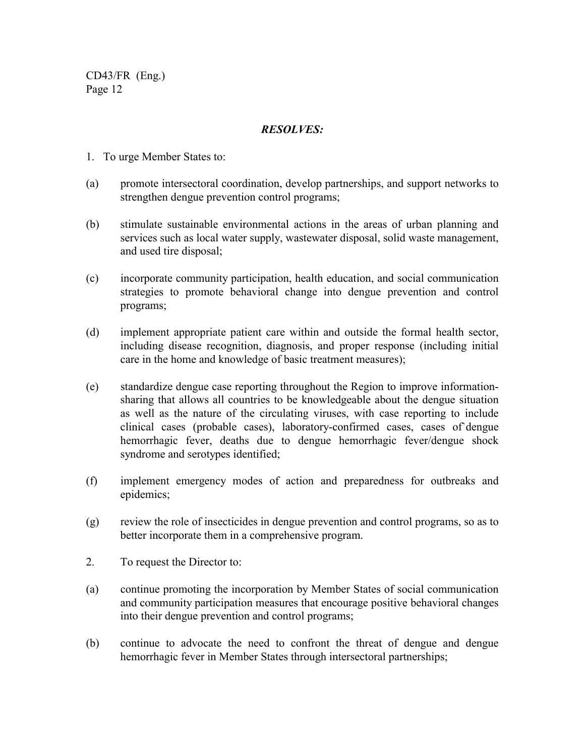- 1. To urge Member States to:
- (a) promote intersectoral coordination, develop partnerships, and support networks to strengthen dengue prevention control programs;
- (b) stimulate sustainable environmental actions in the areas of urban planning and services such as local water supply, wastewater disposal, solid waste management, and used tire disposal;
- (c) incorporate community participation, health education, and social communication strategies to promote behavioral change into dengue prevention and control programs;
- (d) implement appropriate patient care within and outside the formal health sector, including disease recognition, diagnosis, and proper response (including initial care in the home and knowledge of basic treatment measures);
- (e) standardize dengue case reporting throughout the Region to improve informationsharing that allows all countries to be knowledgeable about the dengue situation as well as the nature of the circulating viruses, with case reporting to include clinical cases (probable cases), laboratory-confirmed cases, cases of`dengue hemorrhagic fever, deaths due to dengue hemorrhagic fever/dengue shock syndrome and serotypes identified;
- (f) implement emergency modes of action and preparedness for outbreaks and epidemics;
- (g) review the role of insecticides in dengue prevention and control programs, so as to better incorporate them in a comprehensive program.
- 2. To request the Director to:
- (a) continue promoting the incorporation by Member States of social communication and community participation measures that encourage positive behavioral changes into their dengue prevention and control programs;
- (b) continue to advocate the need to confront the threat of dengue and dengue hemorrhagic fever in Member States through intersectoral partnerships;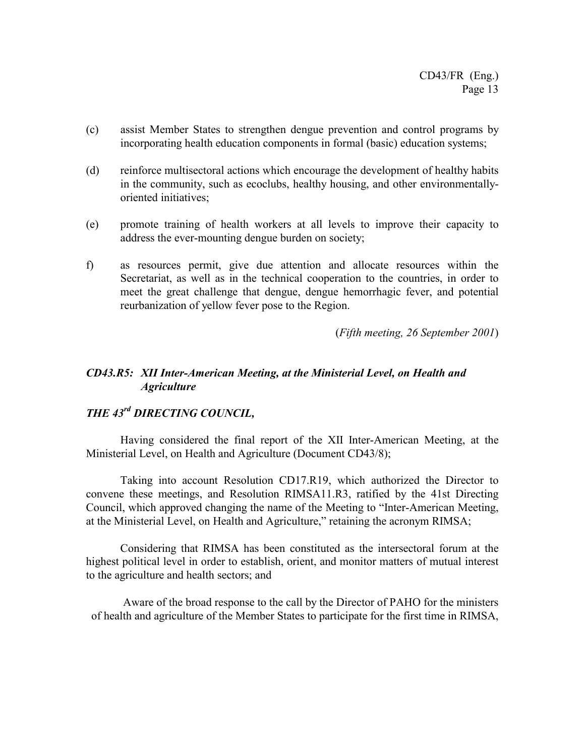- (c) assist Member States to strengthen dengue prevention and control programs by incorporating health education components in formal (basic) education systems;
- (d) reinforce multisectoral actions which encourage the development of healthy habits in the community, such as ecoclubs, healthy housing, and other environmentallyoriented initiatives;
- (e) promote training of health workers at all levels to improve their capacity to address the ever-mounting dengue burden on society;
- f) as resources permit, give due attention and allocate resources within the Secretariat, as well as in the technical cooperation to the countries, in order to meet the great challenge that dengue, dengue hemorrhagic fever, and potential reurbanization of yellow fever pose to the Region.

(*Fifth meeting, 26 September 2001*)

### *CD43.R5: XII Inter-American Meeting, at the Ministerial Level, on Health and Agriculture*

# *THE 43rd DIRECTING COUNCIL,*

Having considered the final report of the XII Inter-American Meeting, at the Ministerial Level, on Health and Agriculture (Document CD43/8);

Taking into account Resolution CD17.R19, which authorized the Director to convene these meetings, and Resolution RIMSA11.R3, ratified by the 41st Directing Council, which approved changing the name of the Meeting to "Inter-American Meeting, at the Ministerial Level, on Health and Agriculture," retaining the acronym RIMSA;

Considering that RIMSA has been constituted as the intersectoral forum at the highest political level in order to establish, orient, and monitor matters of mutual interest to the agriculture and health sectors; and

Aware of the broad response to the call by the Director of PAHO for the ministers of health and agriculture of the Member States to participate for the first time in RIMSA,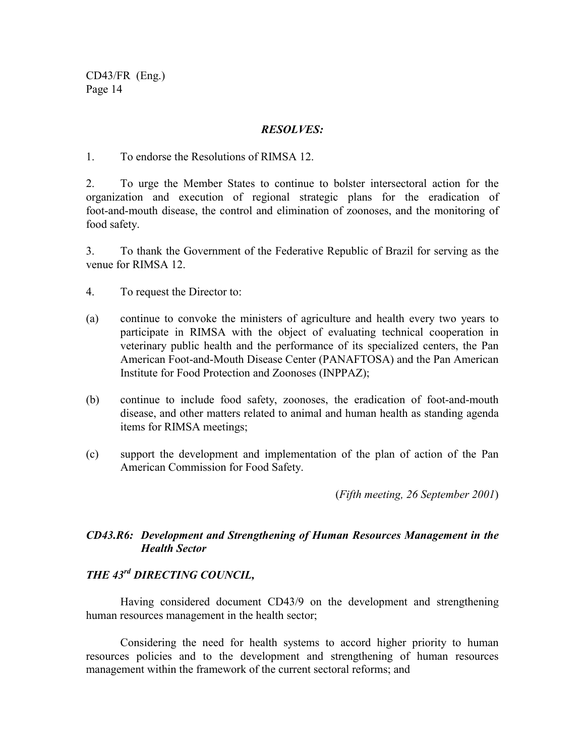### *RESOLVES:*

1. To endorse the Resolutions of RIMSA 12.

2. To urge the Member States to continue to bolster intersectoral action for the organization and execution of regional strategic plans for the eradication of foot-and-mouth disease, the control and elimination of zoonoses, and the monitoring of food safety.

3. To thank the Government of the Federative Republic of Brazil for serving as the venue for RIMSA 12.

4. To request the Director to:

- (a) continue to convoke the ministers of agriculture and health every two years to participate in RIMSA with the object of evaluating technical cooperation in veterinary public health and the performance of its specialized centers, the Pan American Foot-and-Mouth Disease Center (PANAFTOSA) and the Pan American Institute for Food Protection and Zoonoses (INPPAZ);
- (b) continue to include food safety, zoonoses, the eradication of foot-and-mouth disease, and other matters related to animal and human health as standing agenda items for RIMSA meetings;
- (c) support the development and implementation of the plan of action of the Pan American Commission for Food Safety.

(*Fifth meeting, 26 September 2001*)

### *CD43.R6: Development and Strengthening of Human Resources Management in the Health Sector*

# *THE 43rd DIRECTING COUNCIL,*

Having considered document CD43/9 on the development and strengthening human resources management in the health sector;

Considering the need for health systems to accord higher priority to human resources policies and to the development and strengthening of human resources management within the framework of the current sectoral reforms; and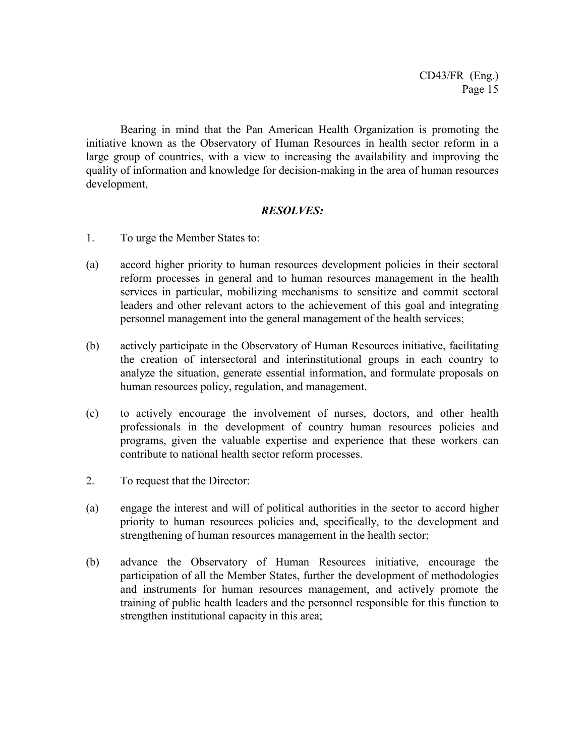Bearing in mind that the Pan American Health Organization is promoting the initiative known as the Observatory of Human Resources in health sector reform in a large group of countries, with a view to increasing the availability and improving the quality of information and knowledge for decision-making in the area of human resources development,

- 1. To urge the Member States to:
- (a) accord higher priority to human resources development policies in their sectoral reform processes in general and to human resources management in the health services in particular, mobilizing mechanisms to sensitize and commit sectoral leaders and other relevant actors to the achievement of this goal and integrating personnel management into the general management of the health services;
- (b) actively participate in the Observatory of Human Resources initiative, facilitating the creation of intersectoral and interinstitutional groups in each country to analyze the situation, generate essential information, and formulate proposals on human resources policy, regulation, and management.
- (c) to actively encourage the involvement of nurses, doctors, and other health professionals in the development of country human resources policies and programs, given the valuable expertise and experience that these workers can contribute to national health sector reform processes.
- 2. To request that the Director:
- (a) engage the interest and will of political authorities in the sector to accord higher priority to human resources policies and, specifically, to the development and strengthening of human resources management in the health sector;
- (b) advance the Observatory of Human Resources initiative, encourage the participation of all the Member States, further the development of methodologies and instruments for human resources management, and actively promote the training of public health leaders and the personnel responsible for this function to strengthen institutional capacity in this area;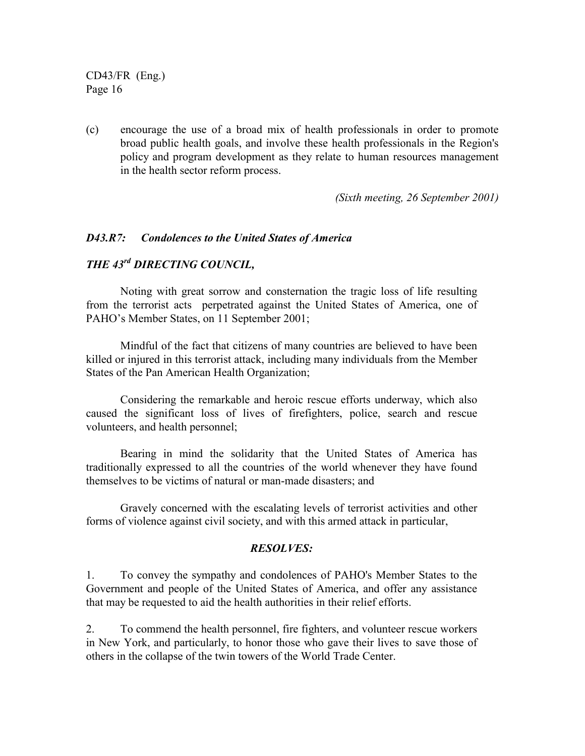(c) encourage the use of a broad mix of health professionals in order to promote broad public health goals, and involve these health professionals in the Region's policy and program development as they relate to human resources management in the health sector reform process.

*(Sixth meeting, 26 September 2001)*

#### *D43.R7: Condolences to the United States of America*

### *THE 43rd DIRECTING COUNCIL,*

Noting with great sorrow and consternation the tragic loss of life resulting from the terrorist acts perpetrated against the United States of America, one of PAHO's Member States, on 11 September 2001;

Mindful of the fact that citizens of many countries are believed to have been killed or injured in this terrorist attack, including many individuals from the Member States of the Pan American Health Organization;

Considering the remarkable and heroic rescue efforts underway, which also caused the significant loss of lives of firefighters, police, search and rescue volunteers, and health personnel;

Bearing in mind the solidarity that the United States of America has traditionally expressed to all the countries of the world whenever they have found themselves to be victims of natural or man-made disasters; and

Gravely concerned with the escalating levels of terrorist activities and other forms of violence against civil society, and with this armed attack in particular,

#### *RESOLVES:*

1. To convey the sympathy and condolences of PAHO's Member States to the Government and people of the United States of America, and offer any assistance that may be requested to aid the health authorities in their relief efforts.

2. To commend the health personnel, fire fighters, and volunteer rescue workers in New York, and particularly, to honor those who gave their lives to save those of others in the collapse of the twin towers of the World Trade Center.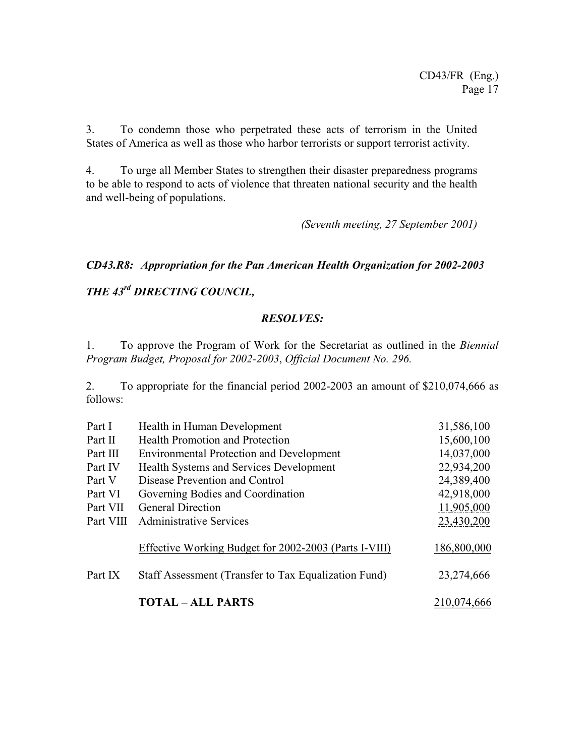3. To condemn those who perpetrated these acts of terrorism in the United States of America as well as those who harbor terrorists or support terrorist activity.

4. To urge all Member States to strengthen their disaster preparedness programs to be able to respond to acts of violence that threaten national security and the health and well-being of populations.

*(Seventh meeting, 27 September 2001)*

### *CD43.R8: Appropriation for the Pan American Health Organization for 2002-2003*

# *THE 43rd DIRECTING COUNCIL,*

### *RESOLVES:*

1. To approve the Program of Work for the Secretariat as outlined in the *Biennial Program Budget, Proposal for 2002-2003*, *Official Document No. 296.*

2. To appropriate for the financial period 2002-2003 an amount of \$210,074,666 as follows:

| Part I    | Health in Human Development                           | 31,586,100  |
|-----------|-------------------------------------------------------|-------------|
| Part II   | <b>Health Promotion and Protection</b>                | 15,600,100  |
| Part III  | <b>Environmental Protection and Development</b>       | 14,037,000  |
| Part IV   | Health Systems and Services Development               | 22,934,200  |
| Part V    | Disease Prevention and Control                        | 24,389,400  |
| Part VI   | Governing Bodies and Coordination                     | 42,918,000  |
| Part VII  | <b>General Direction</b>                              | 11,905,000  |
| Part VIII | <b>Administrative Services</b>                        | 23,430,200  |
|           | Effective Working Budget for 2002-2003 (Parts I-VIII) | 186,800,000 |
| Part IX   | Staff Assessment (Transfer to Tax Equalization Fund)  | 23,274,666  |
|           | <b>TOTAL - ALL PARTS</b>                              | 210,074,666 |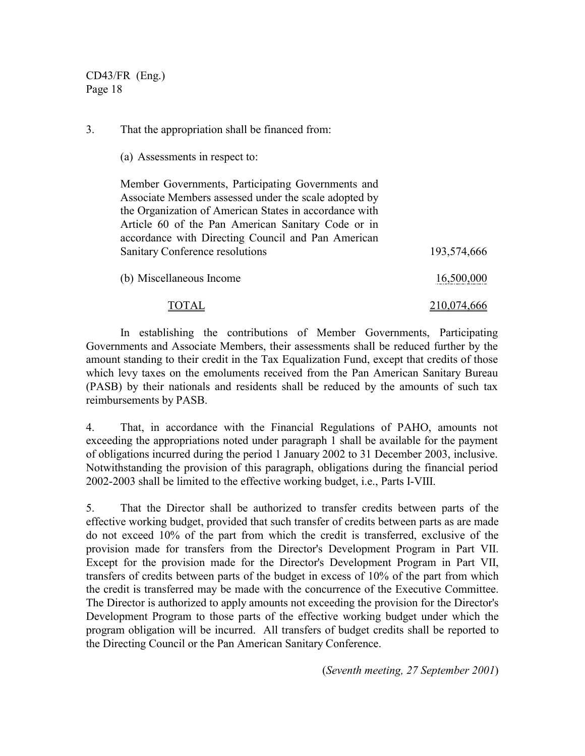3. That the appropriation shall be financed from:

(a) Assessments in respect to:

Member Governments, Participating Governments and Associate Members assessed under the scale adopted by the Organization of American States in accordance with Article 60 of the Pan American Sanitary Code or in accordance with Directing Council and Pan American Sanitary Conference resolutions 193,574,666

| (b) Miscellaneous Income | 16,500,000 |
|--------------------------|------------|
|                          |            |

# TOTAL 210,074,666

In establishing the contributions of Member Governments, Participating Governments and Associate Members, their assessments shall be reduced further by the amount standing to their credit in the Tax Equalization Fund, except that credits of those which levy taxes on the emoluments received from the Pan American Sanitary Bureau (PASB) by their nationals and residents shall be reduced by the amounts of such tax reimbursements by PASB.

4. That, in accordance with the Financial Regulations of PAHO, amounts not exceeding the appropriations noted under paragraph 1 shall be available for the payment of obligations incurred during the period 1 January 2002 to 31 December 2003, inclusive. Notwithstanding the provision of this paragraph, obligations during the financial period 2002-2003 shall be limited to the effective working budget, i.e., Parts I-VIII.

5. That the Director shall be authorized to transfer credits between parts of the effective working budget, provided that such transfer of credits between parts as are made do not exceed 10% of the part from which the credit is transferred, exclusive of the provision made for transfers from the Director's Development Program in Part VII. Except for the provision made for the Director's Development Program in Part VII, transfers of credits between parts of the budget in excess of 10% of the part from which the credit is transferred may be made with the concurrence of the Executive Committee. The Director is authorized to apply amounts not exceeding the provision for the Director's Development Program to those parts of the effective working budget under which the program obligation will be incurred. All transfers of budget credits shall be reported to the Directing Council or the Pan American Sanitary Conference.

(*Seventh meeting, 27 September 2001*)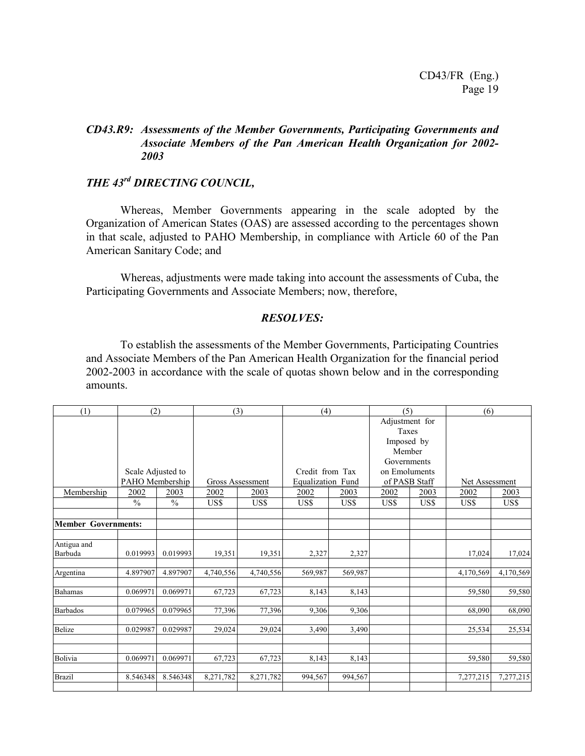### *CD43.R9: Assessments of the Member Governments, Participating Governments and Associate Members of the Pan American Health Organization for 2002- 2003*

# *THE 43rd DIRECTING COUNCIL,*

Whereas, Member Governments appearing in the scale adopted by the Organization of American States (OAS) are assessed according to the percentages shown in that scale, adjusted to PAHO Membership, in compliance with Article 60 of the Pan American Sanitary Code; and

Whereas, adjustments were made taking into account the assessments of Cuba, the Participating Governments and Associate Members; now, therefore,

#### *RESOLVES:*

To establish the assessments of the Member Governments, Participating Countries and Associate Members of the Pan American Health Organization for the financial period 2002-2003 in accordance with the scale of quotas shown below and in the corresponding amounts.

| (1)                        |                   | (2)           |           | (4)<br>(3)       |                          |         | (5)            |               | (6)            |           |
|----------------------------|-------------------|---------------|-----------|------------------|--------------------------|---------|----------------|---------------|----------------|-----------|
|                            |                   |               |           |                  |                          |         | Adjustment for |               |                |           |
|                            |                   |               |           |                  |                          |         | Taxes          |               |                |           |
|                            |                   |               |           |                  |                          |         | Imposed by     |               |                |           |
|                            |                   |               |           |                  |                          |         | Member         |               |                |           |
|                            |                   |               |           |                  |                          |         | Governments    |               |                |           |
|                            | Scale Adjusted to |               |           |                  | Credit from Tax          |         | on Emoluments  |               |                |           |
|                            | PAHO Membership   |               |           | Gross Assessment | <b>Equalization Fund</b> |         |                | of PASB Staff | Net Assessment |           |
| Membership                 | 2002              | 2003          | 2002      | 2003             | 2002                     | 2003    | 2002           | 2003          | 2002           | 2003      |
|                            | $\frac{0}{0}$     | $\frac{0}{0}$ | US\$      | US\$             | US\$                     | US\$    | US\$           | US\$          | US\$           | US\$      |
|                            |                   |               |           |                  |                          |         |                |               |                |           |
| <b>Member Governments:</b> |                   |               |           |                  |                          |         |                |               |                |           |
| Antigua and                |                   |               |           |                  |                          |         |                |               |                |           |
| Barbuda                    | 0.019993          | 0.019993      | 19,351    | 19,351           | 2,327                    | 2,327   |                |               | 17,024         | 17,024    |
| Argentina                  | 4.897907          | 4.897907      | 4,740,556 | 4,740,556        | 569,987                  | 569,987 |                |               | 4,170,569      | 4,170,569 |
| <b>Bahamas</b>             | 0.069971          | 0.069971      | 67,723    | 67,723           | 8,143                    | 8,143   |                |               | 59,580         | 59,580    |
| <b>Barbados</b>            | 0.079965          | 0.079965      | 77,396    | 77,396           | 9,306                    | 9,306   |                |               | 68,090         | 68,090    |
| Belize                     | 0.029987          | 0.029987      | 29,024    | 29,024           | 3,490                    | 3,490   |                |               | 25,534         | 25,534    |
|                            |                   |               |           |                  |                          |         |                |               |                |           |
| Bolivia                    | 0.069971          | 0.069971      | 67,723    | 67,723           | 8,143                    | 8,143   |                |               | 59,580         | 59,580    |
| <b>Brazil</b>              | 8.546348          | 8.546348      | 8,271,782 | 8,271,782        | 994,567                  | 994,567 |                |               | 7,277,215      | 7,277,215 |
|                            |                   |               |           |                  |                          |         |                |               |                |           |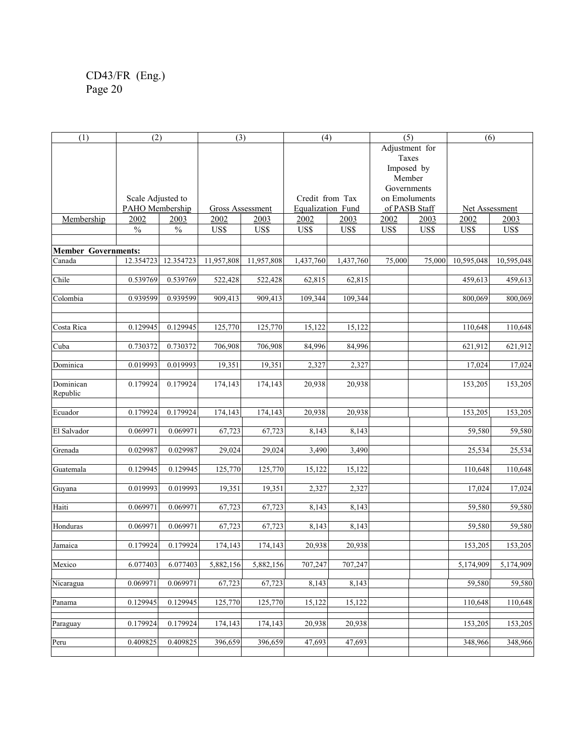| (1)                        | (2)               |           | (3)              |                      | (4)               |           | (5)            |               | (6)            |            |
|----------------------------|-------------------|-----------|------------------|----------------------|-------------------|-----------|----------------|---------------|----------------|------------|
|                            |                   |           |                  |                      |                   |           | Adjustment for |               |                |            |
|                            |                   |           |                  |                      |                   |           | Taxes          |               |                |            |
|                            |                   |           |                  |                      |                   |           | Imposed by     |               |                |            |
|                            |                   |           |                  |                      |                   |           | Member         |               |                |            |
|                            |                   |           |                  |                      |                   |           | Governments    |               |                |            |
|                            | Scale Adjusted to |           |                  |                      | Credit from Tax   |           | on Emoluments  |               |                |            |
|                            | PAHO Membership   |           | Gross Assessment |                      | Equalization Fund |           |                | of PASB Staff | Net Assessment |            |
| Membership                 | 2002              | 2003      | 2002             | 2003                 | 2002              | 2003      | 2002           | 2003          | 2002           | 2003       |
|                            | $\%$              | $\%$      | US\$             | US\$                 | US\$              | US\$      | US\$           | US\$          | US\$           | US\$       |
|                            |                   |           |                  |                      |                   |           |                |               |                |            |
| <b>Member Governments:</b> |                   |           |                  |                      |                   |           |                |               |                |            |
| Canada                     | 12.354723         | 12.354723 | 11,957,808       | 11,957,808           | 1,437,760         | 1,437,760 | 75,000         | 75,000        | 10,595,048     | 10,595,048 |
|                            |                   |           |                  |                      |                   |           |                |               |                |            |
| Chile                      | 0.539769          | 0.539769  | 522,428          | 522,428              | 62,815            | 62,815    |                |               | 459,613        | 459,613    |
|                            |                   |           |                  |                      |                   |           |                |               |                |            |
| Colombia                   | 0.939599          | 0.939599  | 909,413          | 909,413              | 109,344           | 109,344   |                |               | 800,069        | 800,069    |
|                            |                   |           |                  |                      |                   |           |                |               |                |            |
|                            |                   |           |                  |                      |                   |           |                |               |                |            |
| Costa Rica                 | 0.129945          | 0.129945  | 125,770          | 125,770              | 15,122            | 15,122    |                |               | 110,648        | 110,648    |
|                            |                   |           |                  |                      |                   |           |                |               |                |            |
| Cuba                       | 0.730372          | 0.730372  | 706,908          | 706,908              | 84,996            | 84,996    |                |               | 621,912        | 621,912    |
|                            |                   |           |                  |                      |                   |           |                |               |                |            |
| Dominica                   | 0.019993          | 0.019993  | 19,351           | 19,351               | 2,327             | 2,327     |                |               | 17,024         | 17,024     |
|                            |                   |           |                  |                      |                   |           |                |               |                |            |
| Dominican<br>Republic      | 0.179924          | 0.179924  | 174,143          | 174,143              | 20,938            | 20,938    |                |               | 153,205        | 153,205    |
|                            |                   |           |                  |                      |                   |           |                |               |                |            |
| Ecuador                    | 0.179924          | 0.179924  | 174,143          | $\overline{174,143}$ | 20,938            | 20,938    |                |               | 153,205        | 153,205    |
|                            |                   |           |                  |                      |                   |           |                |               |                |            |
| El Salvador                | 0.069971          | 0.069971  | 67,723           | 67,723               | 8,143             | 8,143     |                |               | 59,580         | 59,580     |
|                            |                   |           |                  |                      |                   |           |                |               |                |            |
| Grenada                    | 0.029987          | 0.029987  | 29,024           | 29,024               | 3,490             | 3,490     |                |               | 25,534         | 25,534     |
|                            |                   |           |                  |                      |                   |           |                |               |                |            |
| Guatemala                  | 0.129945          | 0.129945  | 125,770          | 125,770              | 15,122            | 15,122    |                |               | 110,648        | 110,648    |
|                            |                   |           |                  |                      |                   |           |                |               |                |            |
| Guyana                     | 0.019993          | 0.019993  | 19,351           | 19,351               | 2,327             | 2,327     |                |               | 17,024         | 17,024     |
|                            |                   |           |                  |                      |                   |           |                |               |                |            |
| Haiti                      | 0.069971          | 0.069971  | 67,723           | 67,723               | 8,143             | 8,143     |                |               | 59,580         | 59,580     |
|                            |                   |           |                  |                      |                   |           |                |               |                |            |
| Honduras                   | 0.069971          | 0.069971  | 67,723           | 67,723               | 8,143             | 8,143     |                |               | 59,580         | 59,580     |
| Jamaica                    |                   |           |                  |                      |                   |           |                |               |                |            |
|                            | 0.179924          | 0.179924  | 174,143          | 174,143              | 20,938            | 20,938    |                |               | 153,205        | 153,205    |
| Mexico                     | 6.077403          | 6.077403  | 5,882,156        | 5,882,156            | 707,247           | 707,247   |                |               | 5,174,909      | 5,174,909  |
|                            |                   |           |                  |                      |                   |           |                |               |                |            |
| Nicaragua                  | 0.069971          | 0.069971  | 67,723           | 67,723               | 8,143             | 8,143     |                |               | 59,580         | 59,580     |
|                            |                   |           |                  |                      |                   |           |                |               |                |            |
| Panama                     | 0.129945          | 0.129945  | 125,770          | 125,770              | 15,122            | 15,122    |                |               | 110,648        | 110,648    |
|                            |                   |           |                  |                      |                   |           |                |               |                |            |
| Paraguay                   | 0.179924          | 0.179924  | 174,143          | 174,143              | 20,938            | 20,938    |                |               | 153,205        | 153,205    |
|                            |                   |           |                  |                      |                   |           |                |               |                |            |
| Peru                       | 0.409825          | 0.409825  | 396,659          | 396,659              | 47,693            | 47,693    |                |               | 348,966        | 348,966    |
|                            |                   |           |                  |                      |                   |           |                |               |                |            |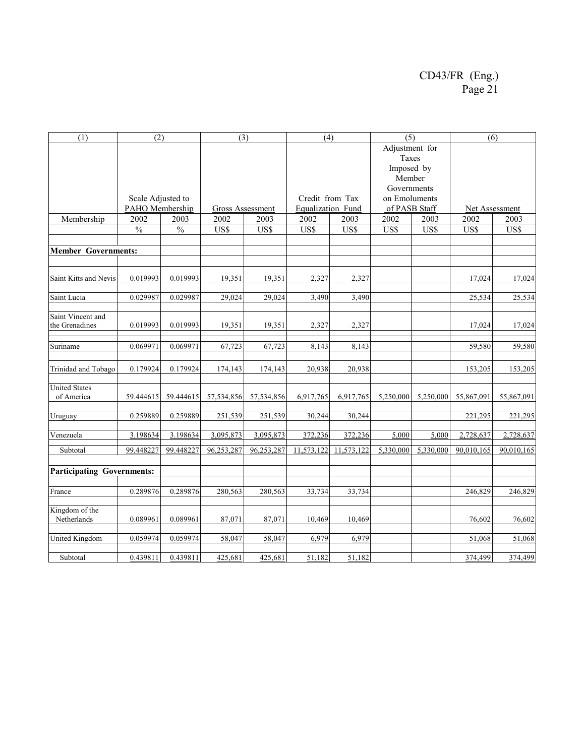| (1)                                 | (2)               |               | (3)                     |            | (4)               |            | (5)           |                                                                | (6)            |            |  |
|-------------------------------------|-------------------|---------------|-------------------------|------------|-------------------|------------|---------------|----------------------------------------------------------------|----------------|------------|--|
|                                     |                   |               |                         |            |                   |            |               | Adjustment for<br>Taxes<br>Imposed by<br>Member<br>Governments |                |            |  |
|                                     | Scale Adjusted to |               |                         |            | Credit from Tax   |            | on Emoluments |                                                                |                |            |  |
|                                     | PAHO Membership   |               | <b>Gross Assessment</b> |            | Equalization Fund |            | of PASB Staff |                                                                | Net Assessment |            |  |
| Membership                          | 2002              | 2003          | 2002                    | 2003       | 2002              | 2003       | 2002          | 2003                                                           | 2002           | 2003       |  |
|                                     | $\frac{0}{0}$     | $\frac{0}{0}$ | US\$                    | US\$       | US\$              | US\$       | US\$          | US\$                                                           | US\$           | US\$       |  |
| <b>Member Governments:</b>          |                   |               |                         |            |                   |            |               |                                                                |                |            |  |
|                                     |                   |               |                         |            |                   |            |               |                                                                |                |            |  |
| Saint Kitts and Nevis               | 0.019993          | 0.019993      | 19,351                  | 19,351     | 2,327             | 2,327      |               |                                                                | 17,024         | 17,024     |  |
| Saint Lucia                         | 0.029987          | 0.029987      | 29,024                  | 29,024     | 3,490             | 3,490      |               |                                                                | 25,534         | 25,534     |  |
| Saint Vincent and<br>the Grenadines | 0.019993          | 0.019993      | 19,351                  | 19,351     | 2,327             | 2,327      |               |                                                                | 17,024         | 17,024     |  |
| Suriname                            | 0.069971          | 0.069971      | 67,723                  | 67,723     | 8,143             | 8,143      |               |                                                                | 59,580         | 59,580     |  |
| Trinidad and Tobago                 | 0.179924          | 0.179924      | 174,143                 | 174,143    | 20,938            | 20,938     |               |                                                                | 153,205        | 153,205    |  |
| <b>United States</b><br>of America  | 59.444615         | 59.444615     | 57,534,856              | 57,534,856 | 6,917,765         | 6,917,765  | 5,250,000     | 5,250,000                                                      | 55,867,091     | 55,867,091 |  |
| Uruguay                             | 0.259889          | 0.259889      | 251,539                 | 251,539    | 30,244            | 30,244     |               |                                                                | 221,295        | 221,295    |  |
| Venezuela                           | 3.198634          | 3.198634      | 3,095,873               | 3,095,873  | 372,236           | 372,236    | 5.000         | 5.000                                                          | 2,728,637      | 2,728,637  |  |
| Subtotal                            | 99.448227         | 99.448227     | 96,253,287              | 96,253,287 | 11,573,122        | 11,573,122 | 5,330,000     | 5,330,000                                                      | 90,010,165     | 90,010,165 |  |
| <b>Participating Governments:</b>   |                   |               |                         |            |                   |            |               |                                                                |                |            |  |
| France                              | 0.289876          | 0.289876      | 280,563                 | 280,563    | 33,734            | 33,734     |               |                                                                | 246,829        | 246,829    |  |
| Kingdom of the<br>Netherlands       | 0.089961          | 0.089961      | 87,071                  | 87,071     | 10,469            | 10,469     |               |                                                                | 76,602         | 76,602     |  |
| <b>United Kingdom</b>               | 0.059974          | 0.059974      | 58,047                  | 58,047     | 6,979             | 6,979      |               |                                                                | 51,068         | 51,068     |  |
| Subtotal                            | 0.439811          | 0.439811      | 425,681                 | 425,681    | 51,182            | 51,182     |               |                                                                | 374,499        | 374,499    |  |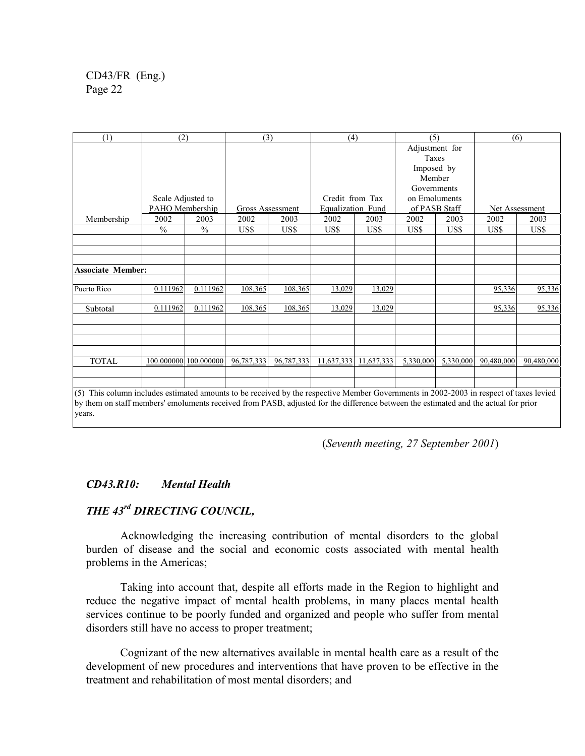| (1)                                                                                                                                              | (2)                   |               | (3)              |            | (4)               |            | (5)           |           | (6)            |            |  |  |
|--------------------------------------------------------------------------------------------------------------------------------------------------|-----------------------|---------------|------------------|------------|-------------------|------------|---------------|-----------|----------------|------------|--|--|
|                                                                                                                                                  |                       |               |                  |            |                   |            |               |           | Adjustment for |            |  |  |
|                                                                                                                                                  |                       |               |                  |            |                   |            | Taxes         |           |                |            |  |  |
|                                                                                                                                                  |                       |               |                  |            |                   |            | Imposed by    |           |                |            |  |  |
|                                                                                                                                                  |                       |               |                  |            |                   |            | Member        |           |                |            |  |  |
|                                                                                                                                                  |                       |               |                  |            |                   |            | Governments   |           |                |            |  |  |
|                                                                                                                                                  | Scale Adjusted to     |               |                  |            | Credit from Tax   |            | on Emoluments |           |                |            |  |  |
|                                                                                                                                                  | PAHO Membership       |               | Gross Assessment |            | Equalization Fund |            | of PASB Staff |           | Net Assessment |            |  |  |
| Membership                                                                                                                                       | <u> 2002 </u>         | 2003          | 2002             | 2003       | 2002              | 2003       | 2002          | 2003      | 2002           | 2003       |  |  |
|                                                                                                                                                  | $\frac{0}{0}$         | $\frac{0}{0}$ | US\$             | US\$       | US\$              | US\$       | US\$          | US\$      | US\$           | US\$       |  |  |
|                                                                                                                                                  |                       |               |                  |            |                   |            |               |           |                |            |  |  |
|                                                                                                                                                  |                       |               |                  |            |                   |            |               |           |                |            |  |  |
|                                                                                                                                                  |                       |               |                  |            |                   |            |               |           |                |            |  |  |
| <b>Associate Member:</b>                                                                                                                         |                       |               |                  |            |                   |            |               |           |                |            |  |  |
| Puerto Rico                                                                                                                                      | 0.111962              | 0.111962      | 108,365          | 108,365    | 13,029            | 13,029     |               |           | 95,336         | 95,336     |  |  |
| Subtotal                                                                                                                                         | 0.111962              | 0.111962      | 108,365          | 108,365    | 13,029            | 13,029     |               |           | 95,336         | 95,336     |  |  |
|                                                                                                                                                  |                       |               |                  |            |                   |            |               |           |                |            |  |  |
|                                                                                                                                                  |                       |               |                  |            |                   |            |               |           |                |            |  |  |
|                                                                                                                                                  |                       |               |                  |            |                   |            |               |           |                |            |  |  |
| <b>TOTAL</b>                                                                                                                                     | 100.000000 100.000000 |               | 96,787,333       | 96,787,333 | 11,637,333        | 11,637,333 | 5,330,000     | 5,330,000 | 90,480,000     | 90,480,000 |  |  |
| $(6)$ This selected in the two estimated accounts to be provided by the proposition Mapphe Corresponding 2002, 2002 in proposal effective larged |                       |               |                  |            |                   |            |               |           |                |            |  |  |

(5) This column includes estimated amounts to be received by the respective Member Governments in 2002-2003 in respect of taxes levied by them on staff members' emoluments received from PASB, adjusted for the difference between the estimated and the actual for prior years.

(*Seventh meeting, 27 September 2001*)

### *CD43.R10: Mental Health*

### *THE 43rd DIRECTING COUNCIL,*

Acknowledging the increasing contribution of mental disorders to the global burden of disease and the social and economic costs associated with mental health problems in the Americas;

Taking into account that, despite all efforts made in the Region to highlight and reduce the negative impact of mental health problems, in many places mental health services continue to be poorly funded and organized and people who suffer from mental disorders still have no access to proper treatment;

Cognizant of the new alternatives available in mental health care as a result of the development of new procedures and interventions that have proven to be effective in the treatment and rehabilitation of most mental disorders; and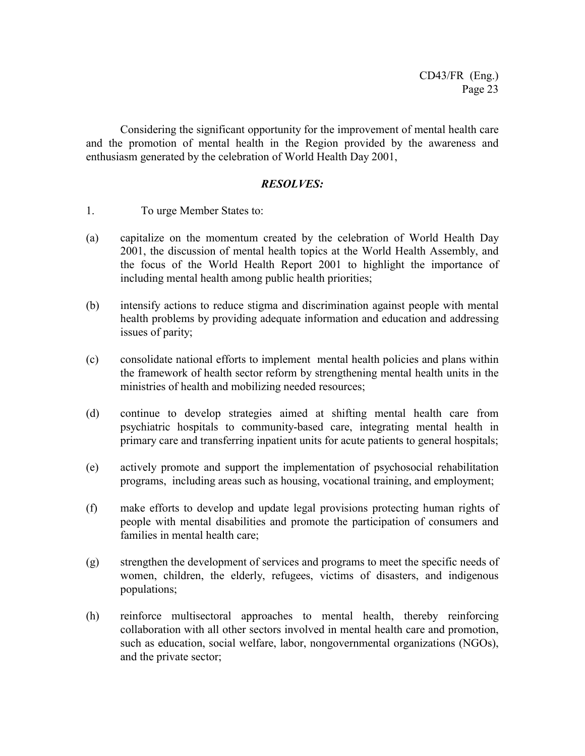Considering the significant opportunity for the improvement of mental health care and the promotion of mental health in the Region provided by the awareness and enthusiasm generated by the celebration of World Health Day 2001,

- 1. To urge Member States to:
- (a) capitalize on the momentum created by the celebration of World Health Day 2001, the discussion of mental health topics at the World Health Assembly, and the focus of the World Health Report 2001 to highlight the importance of including mental health among public health priorities;
- (b) intensify actions to reduce stigma and discrimination against people with mental health problems by providing adequate information and education and addressing issues of parity;
- (c) consolidate national efforts to implement mental health policies and plans within the framework of health sector reform by strengthening mental health units in the ministries of health and mobilizing needed resources;
- (d) continue to develop strategies aimed at shifting mental health care from psychiatric hospitals to community-based care, integrating mental health in primary care and transferring inpatient units for acute patients to general hospitals;
- (e) actively promote and support the implementation of psychosocial rehabilitation programs, including areas such as housing, vocational training, and employment;
- (f) make efforts to develop and update legal provisions protecting human rights of people with mental disabilities and promote the participation of consumers and families in mental health care;
- (g) strengthen the development of services and programs to meet the specific needs of women, children, the elderly, refugees, victims of disasters, and indigenous populations;
- (h) reinforce multisectoral approaches to mental health, thereby reinforcing collaboration with all other sectors involved in mental health care and promotion, such as education, social welfare, labor, nongovernmental organizations (NGOs), and the private sector;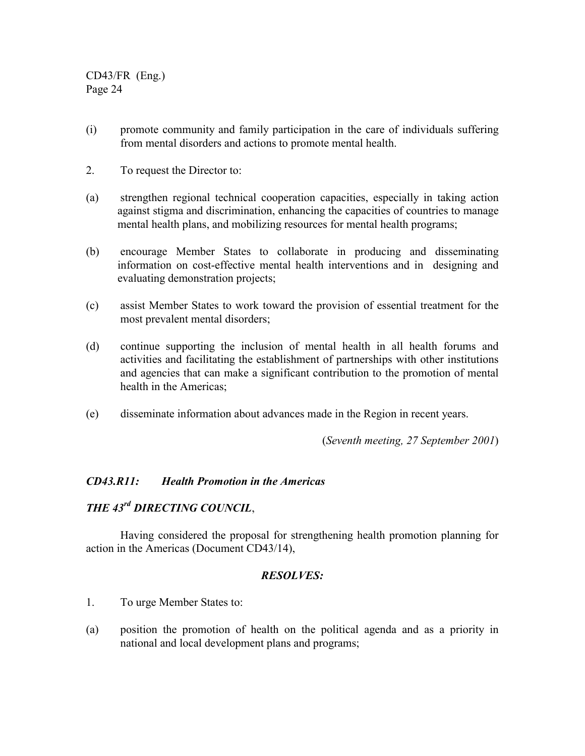- (i) promote community and family participation in the care of individuals suffering from mental disorders and actions to promote mental health.
- 2. To request the Director to:
- (a) strengthen regional technical cooperation capacities, especially in taking action against stigma and discrimination, enhancing the capacities of countries to manage mental health plans, and mobilizing resources for mental health programs;
- (b) encourage Member States to collaborate in producing and disseminating information on cost-effective mental health interventions and in designing and evaluating demonstration projects;
- (c) assist Member States to work toward the provision of essential treatment for the most prevalent mental disorders;
- (d) continue supporting the inclusion of mental health in all health forums and activities and facilitating the establishment of partnerships with other institutions and agencies that can make a significant contribution to the promotion of mental health in the Americas;
- (e) disseminate information about advances made in the Region in recent years.

(*Seventh meeting, 27 September 2001*)

### *CD43.R11: Health Promotion in the Americas*

# *THE 43rd DIRECTING COUNCIL*,

Having considered the proposal for strengthening health promotion planning for action in the Americas (Document CD43/14),

- 1. To urge Member States to:
- (a) position the promotion of health on the political agenda and as a priority in national and local development plans and programs;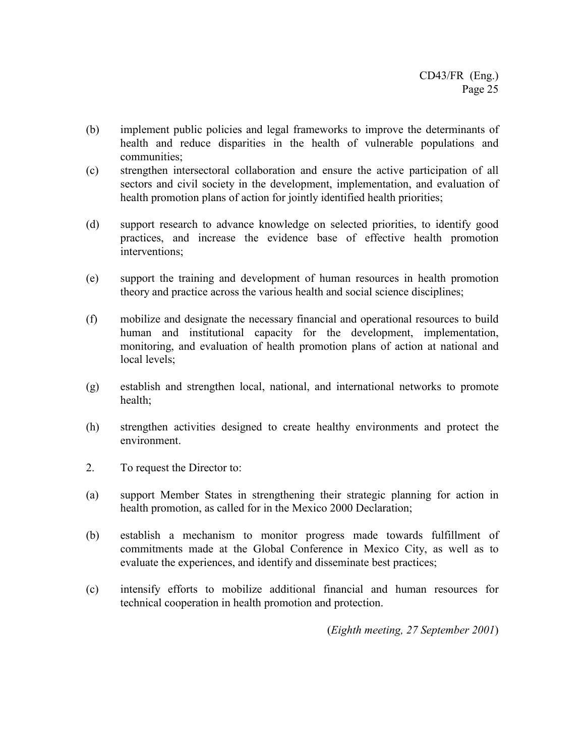- (b) implement public policies and legal frameworks to improve the determinants of health and reduce disparities in the health of vulnerable populations and communities;
- (c) strengthen intersectoral collaboration and ensure the active participation of all sectors and civil society in the development, implementation, and evaluation of health promotion plans of action for jointly identified health priorities;
- (d) support research to advance knowledge on selected priorities, to identify good practices, and increase the evidence base of effective health promotion interventions;
- (e) support the training and development of human resources in health promotion theory and practice across the various health and social science disciplines;
- (f) mobilize and designate the necessary financial and operational resources to build human and institutional capacity for the development, implementation, monitoring, and evaluation of health promotion plans of action at national and local levels;
- (g) establish and strengthen local, national, and international networks to promote health;
- (h) strengthen activities designed to create healthy environments and protect the environment.
- 2. To request the Director to:
- (a) support Member States in strengthening their strategic planning for action in health promotion, as called for in the Mexico 2000 Declaration;
- (b) establish a mechanism to monitor progress made towards fulfillment of commitments made at the Global Conference in Mexico City, as well as to evaluate the experiences, and identify and disseminate best practices;
- (c) intensify efforts to mobilize additional financial and human resources for technical cooperation in health promotion and protection.

(*Eighth meeting, 27 September 2001*)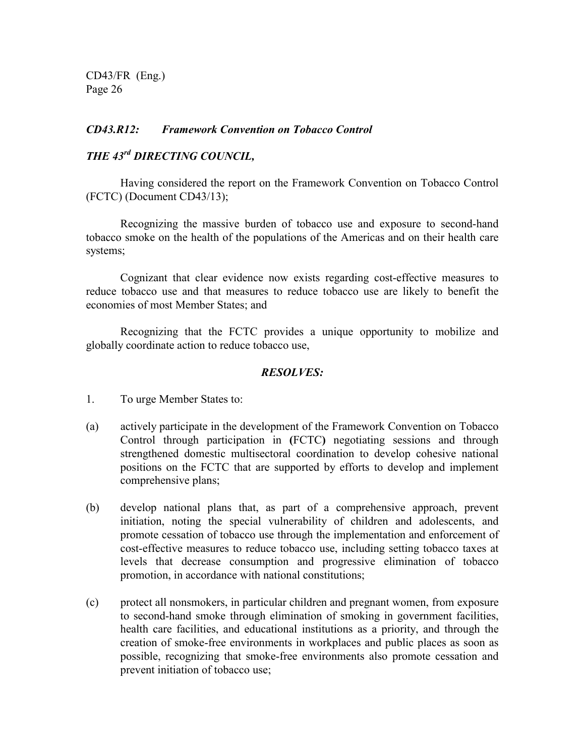### *CD43.R12: Framework Convention on Tobacco Control*

# *THE 43rd DIRECTING COUNCIL,*

Having considered the report on the Framework Convention on Tobacco Control (FCTC) (Document CD43/13);

Recognizing the massive burden of tobacco use and exposure to second-hand tobacco smoke on the health of the populations of the Americas and on their health care systems;

Cognizant that clear evidence now exists regarding cost-effective measures to reduce tobacco use and that measures to reduce tobacco use are likely to benefit the economies of most Member States; and

Recognizing that the FCTC provides a unique opportunity to mobilize and globally coordinate action to reduce tobacco use,

- 1. To urge Member States to:
- (a) actively participate in the development of the Framework Convention on Tobacco Control through participation in **(**FCTC**)** negotiating sessions and through strengthened domestic multisectoral coordination to develop cohesive national positions on the FCTC that are supported by efforts to develop and implement comprehensive plans;
- (b) develop national plans that, as part of a comprehensive approach, prevent initiation, noting the special vulnerability of children and adolescents, and promote cessation of tobacco use through the implementation and enforcement of cost-effective measures to reduce tobacco use, including setting tobacco taxes at levels that decrease consumption and progressive elimination of tobacco promotion, in accordance with national constitutions;
- (c) protect all nonsmokers, in particular children and pregnant women, from exposure to second-hand smoke through elimination of smoking in government facilities, health care facilities, and educational institutions as a priority, and through the creation of smoke-free environments in workplaces and public places as soon as possible, recognizing that smoke-free environments also promote cessation and prevent initiation of tobacco use;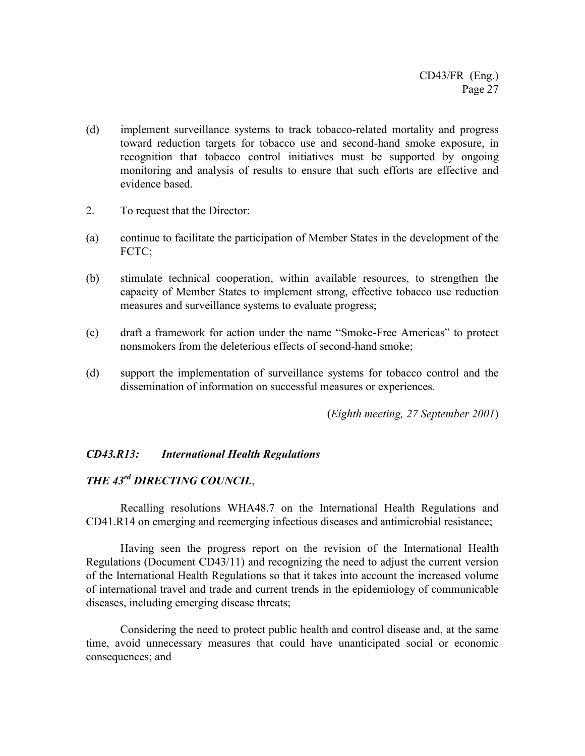- (d) implement surveillance systems to track tobacco-related mortality and progress toward reduction targets for tobacco use and second-hand smoke exposure, in recognition that tobacco control initiatives must be supported by ongoing monitoring and analysis of results to ensure that such efforts are effective and evidence based.
- 2. To request that the Director:
- (a) continue to facilitate the participation of Member States in the development of the FCTC:
- (b) stimulate technical cooperation, within available resources, to strengthen the capacity of Member States to implement strong, effective tobacco use reduction measures and surveillance systems to evaluate progress;
- (c) draft a framework for action under the name "Smoke-Free Americas" to protect nonsmokers from the deleterious effects of second-hand smoke;
- (d) support the implementation of surveillance systems for tobacco control and the dissemination of information on successful measures or experiences.

(*Eighth meeting, 27 September 2001*)

### *CD43.R13: International Health Regulations*

# *THE 43rd DIRECTING COUNCIL*,

Recalling resolutions WHA48.7 on the International Health Regulations and CD41.R14 on emerging and reemerging infectious diseases and antimicrobial resistance;

Having seen the progress report on the revision of the International Health Regulations (Document CD43/11) and recognizing the need to adjust the current version of the International Health Regulations so that it takes into account the increased volume of international travel and trade and current trends in the epidemiology of communicable diseases, including emerging disease threats;

Considering the need to protect public health and control disease and, at the same time, avoid unnecessary measures that could have unanticipated social or economic consequences; and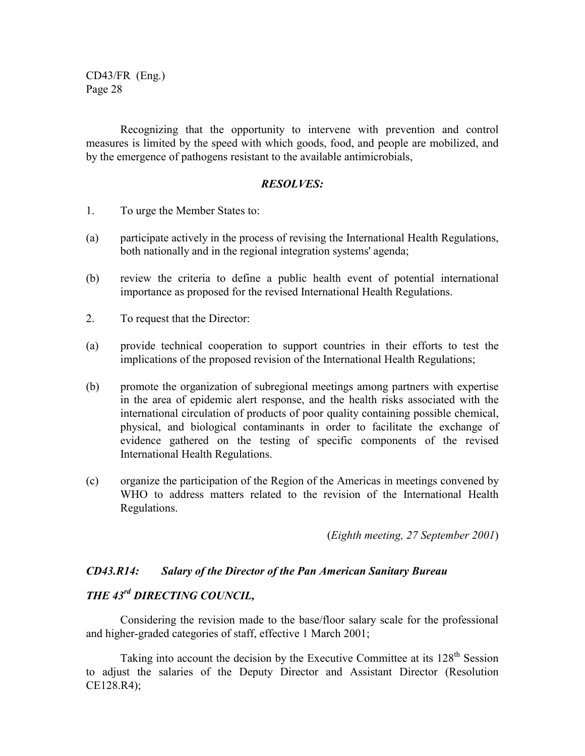Recognizing that the opportunity to intervene with prevention and control measures is limited by the speed with which goods, food, and people are mobilized, and by the emergence of pathogens resistant to the available antimicrobials,

#### *RESOLVES:*

- 1. To urge the Member States to:
- (a) participate actively in the process of revising the International Health Regulations, both nationally and in the regional integration systems' agenda;
- (b) review the criteria to define a public health event of potential international importance as proposed for the revised International Health Regulations.
- 2. To request that the Director:
- (a) provide technical cooperation to support countries in their efforts to test the implications of the proposed revision of the International Health Regulations;
- (b) promote the organization of subregional meetings among partners with expertise in the area of epidemic alert response, and the health risks associated with the international circulation of products of poor quality containing possible chemical, physical, and biological contaminants in order to facilitate the exchange of evidence gathered on the testing of specific components of the revised International Health Regulations.
- (c) organize the participation of the Region of the Americas in meetings convened by WHO to address matters related to the revision of the International Health Regulations.

(*Eighth meeting, 27 September 2001*)

### *CD43.R14: Salary of the Director of the Pan American Sanitary Bureau*

### *THE 43rd DIRECTING COUNCIL,*

Considering the revision made to the base/floor salary scale for the professional and higher-graded categories of staff, effective 1 March 2001;

Taking into account the decision by the Executive Committee at its 128<sup>th</sup> Session to adjust the salaries of the Deputy Director and Assistant Director (Resolution CE128.R4);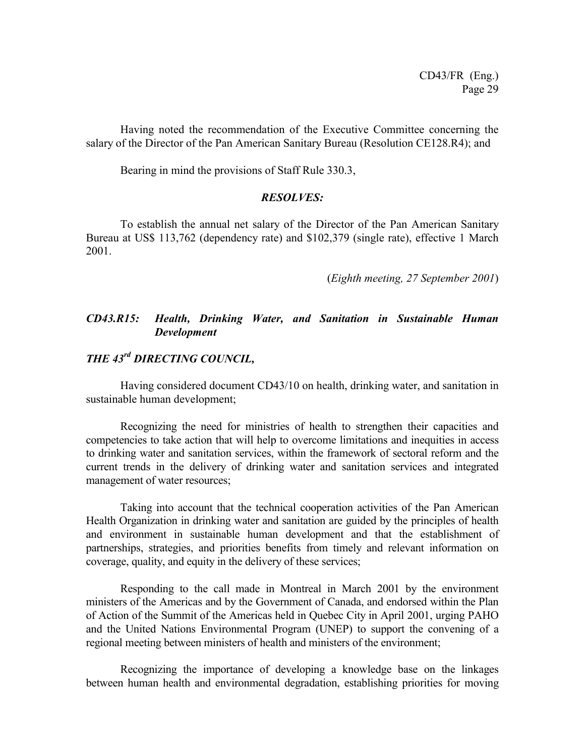Having noted the recommendation of the Executive Committee concerning the salary of the Director of the Pan American Sanitary Bureau (Resolution CE128.R4); and

Bearing in mind the provisions of Staff Rule 330.3,

#### *RESOLVES:*

To establish the annual net salary of the Director of the Pan American Sanitary Bureau at US\$ 113,762 (dependency rate) and \$102,379 (single rate), effective 1 March 2001.

(*Eighth meeting, 27 September 2001*)

### *CD43.R15: Health, Drinking Water, and Sanitation in Sustainable Human Development*

# *THE 43rd DIRECTING COUNCIL,*

Having considered document CD43/10 on health, drinking water, and sanitation in sustainable human development;

Recognizing the need for ministries of health to strengthen their capacities and competencies to take action that will help to overcome limitations and inequities in access to drinking water and sanitation services, within the framework of sectoral reform and the current trends in the delivery of drinking water and sanitation services and integrated management of water resources;

Taking into account that the technical cooperation activities of the Pan American Health Organization in drinking water and sanitation are guided by the principles of health and environment in sustainable human development and that the establishment of partnerships, strategies, and priorities benefits from timely and relevant information on coverage, quality, and equity in the delivery of these services;

Responding to the call made in Montreal in March 2001 by the environment ministers of the Americas and by the Government of Canada, and endorsed within the Plan of Action of the Summit of the Americas held in Quebec City in April 2001, urging PAHO and the United Nations Environmental Program (UNEP) to support the convening of a regional meeting between ministers of health and ministers of the environment;

Recognizing the importance of developing a knowledge base on the linkages between human health and environmental degradation, establishing priorities for moving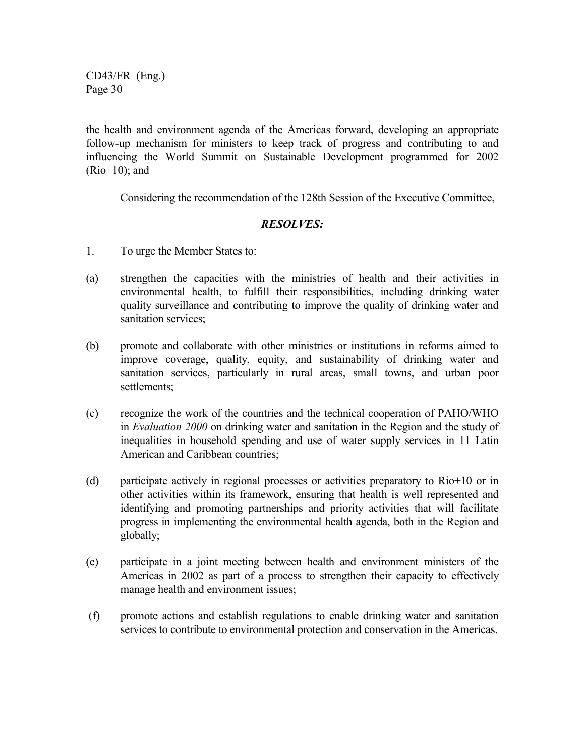the health and environment agenda of the Americas forward, developing an appropriate follow-up mechanism for ministers to keep track of progress and contributing to and influencing the World Summit on Sustainable Development programmed for 2002 (Rio+10); and

Considering the recommendation of the 128th Session of the Executive Committee,

- 1. To urge the Member States to:
- (a) strengthen the capacities with the ministries of health and their activities in environmental health, to fulfill their responsibilities, including drinking water quality surveillance and contributing to improve the quality of drinking water and sanitation services;
- (b) promote and collaborate with other ministries or institutions in reforms aimed to improve coverage, quality, equity, and sustainability of drinking water and sanitation services, particularly in rural areas, small towns, and urban poor settlements;
- (c) recognize the work of the countries and the technical cooperation of PAHO/WHO in *Evaluation 2000* on drinking water and sanitation in the Region and the study of inequalities in household spending and use of water supply services in 11 Latin American and Caribbean countries;
- (d) participate actively in regional processes or activities preparatory to Rio+10 or in other activities within its framework, ensuring that health is well represented and identifying and promoting partnerships and priority activities that will facilitate progress in implementing the environmental health agenda, both in the Region and globally;
- (e) participate in a joint meeting between health and environment ministers of the Americas in 2002 as part of a process to strengthen their capacity to effectively manage health and environment issues;
- (f) promote actions and establish regulations to enable drinking water and sanitation services to contribute to environmental protection and conservation in the Americas.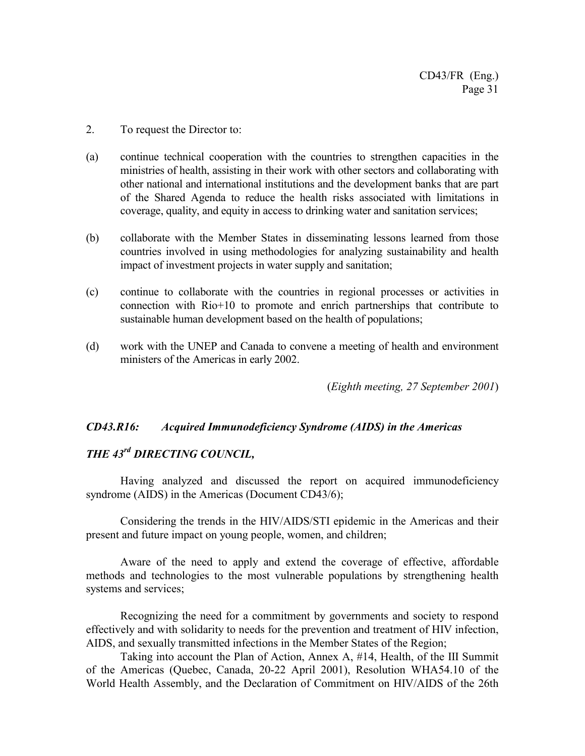- 2. To request the Director to:
- (a) continue technical cooperation with the countries to strengthen capacities in the ministries of health, assisting in their work with other sectors and collaborating with other national and international institutions and the development banks that are part of the Shared Agenda to reduce the health risks associated with limitations in coverage, quality, and equity in access to drinking water and sanitation services;
- (b) collaborate with the Member States in disseminating lessons learned from those countries involved in using methodologies for analyzing sustainability and health impact of investment projects in water supply and sanitation;
- (c) continue to collaborate with the countries in regional processes or activities in connection with Rio+10 to promote and enrich partnerships that contribute to sustainable human development based on the health of populations;
- (d) work with the UNEP and Canada to convene a meeting of health and environment ministers of the Americas in early 2002.

(*Eighth meeting, 27 September 2001*)

### *CD43.R16: Acquired Immunodeficiency Syndrome (AIDS) in the Americas*

# *THE 43rd DIRECTING COUNCIL,*

Having analyzed and discussed the report on acquired immunodeficiency syndrome (AIDS) in the Americas (Document CD43/6);

Considering the trends in the HIV/AIDS/STI epidemic in the Americas and their present and future impact on young people, women, and children;

Aware of the need to apply and extend the coverage of effective, affordable methods and technologies to the most vulnerable populations by strengthening health systems and services;

Recognizing the need for a commitment by governments and society to respond effectively and with solidarity to needs for the prevention and treatment of HIV infection, AIDS, and sexually transmitted infections in the Member States of the Region;

Taking into account the Plan of Action, Annex A, #14, Health, of the III Summit of the Americas (Quebec, Canada, 20-22 April 2001), Resolution WHA54.10 of the World Health Assembly, and the Declaration of Commitment on HIV/AIDS of the 26th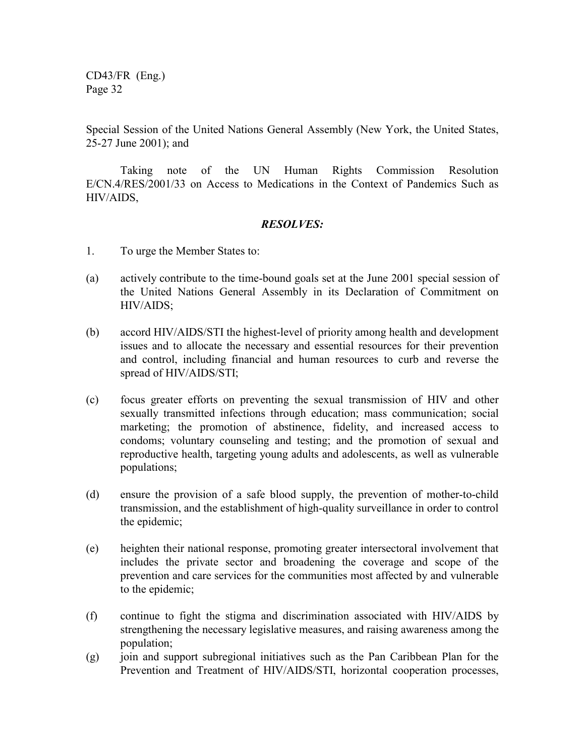Special Session of the United Nations General Assembly (New York, the United States, 25-27 June 2001); and

Taking note of the UN Human Rights Commission Resolution E/CN.4/RES/2001/33 on Access to Medications in the Context of Pandemics Such as HIV/AIDS,

- 1. To urge the Member States to:
- (a) actively contribute to the time-bound goals set at the June 2001 special session of the United Nations General Assembly in its Declaration of Commitment on HIV/AIDS;
- (b) accord HIV/AIDS/STI the highest-level of priority among health and development issues and to allocate the necessary and essential resources for their prevention and control, including financial and human resources to curb and reverse the spread of HIV/AIDS/STI;
- (c) focus greater efforts on preventing the sexual transmission of HIV and other sexually transmitted infections through education; mass communication; social marketing; the promotion of abstinence, fidelity, and increased access to condoms; voluntary counseling and testing; and the promotion of sexual and reproductive health, targeting young adults and adolescents, as well as vulnerable populations;
- (d) ensure the provision of a safe blood supply, the prevention of mother-to-child transmission, and the establishment of high-quality surveillance in order to control the epidemic;
- (e) heighten their national response, promoting greater intersectoral involvement that includes the private sector and broadening the coverage and scope of the prevention and care services for the communities most affected by and vulnerable to the epidemic;
- (f) continue to fight the stigma and discrimination associated with HIV/AIDS by strengthening the necessary legislative measures, and raising awareness among the population;
- (g) join and support subregional initiatives such as the Pan Caribbean Plan for the Prevention and Treatment of HIV/AIDS/STI, horizontal cooperation processes,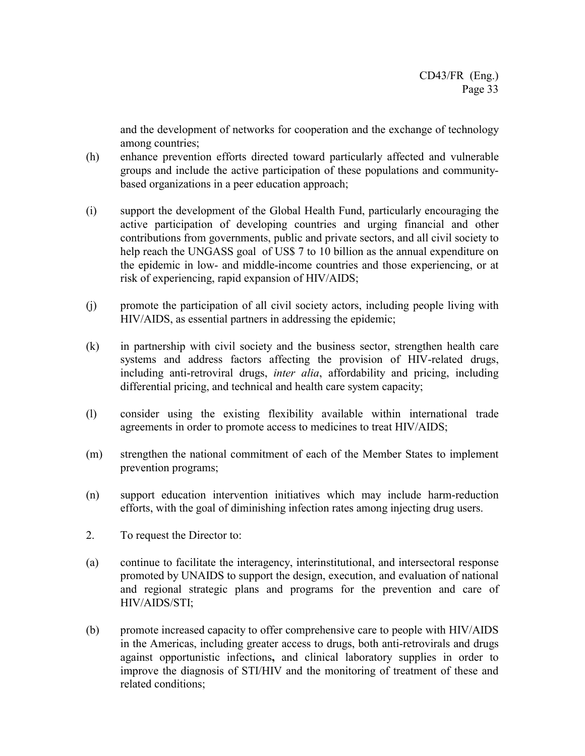and the development of networks for cooperation and the exchange of technology among countries;

- (h) enhance prevention efforts directed toward particularly affected and vulnerable groups and include the active participation of these populations and communitybased organizations in a peer education approach;
- (i) support the development of the Global Health Fund, particularly encouraging the active participation of developing countries and urging financial and other contributions from governments, public and private sectors, and all civil society to help reach the UNGASS goal of US\$ 7 to 10 billion as the annual expenditure on the epidemic in low- and middle-income countries and those experiencing, or at risk of experiencing, rapid expansion of HIV/AIDS;
- (j) promote the participation of all civil society actors, including people living with HIV/AIDS, as essential partners in addressing the epidemic;
- (k) in partnership with civil society and the business sector, strengthen health care systems and address factors affecting the provision of HIV-related drugs, including anti-retroviral drugs, *inter alia*, affordability and pricing, including differential pricing, and technical and health care system capacity;
- (l) consider using the existing flexibility available within international trade agreements in order to promote access to medicines to treat HIV/AIDS;
- (m) strengthen the national commitment of each of the Member States to implement prevention programs;
- (n) support education intervention initiatives which may include harm-reduction efforts, with the goal of diminishing infection rates among injecting drug users.
- 2. To request the Director to:
- (a) continue to facilitate the interagency, interinstitutional, and intersectoral response promoted by UNAIDS to support the design, execution, and evaluation of national and regional strategic plans and programs for the prevention and care of HIV/AIDS/STI;
- (b) promote increased capacity to offer comprehensive care to people with HIV/AIDS in the Americas, including greater access to drugs, both anti-retrovirals and drugs against opportunistic infections**,** and clinical laboratory supplies in order to improve the diagnosis of STI/HIV and the monitoring of treatment of these and related conditions;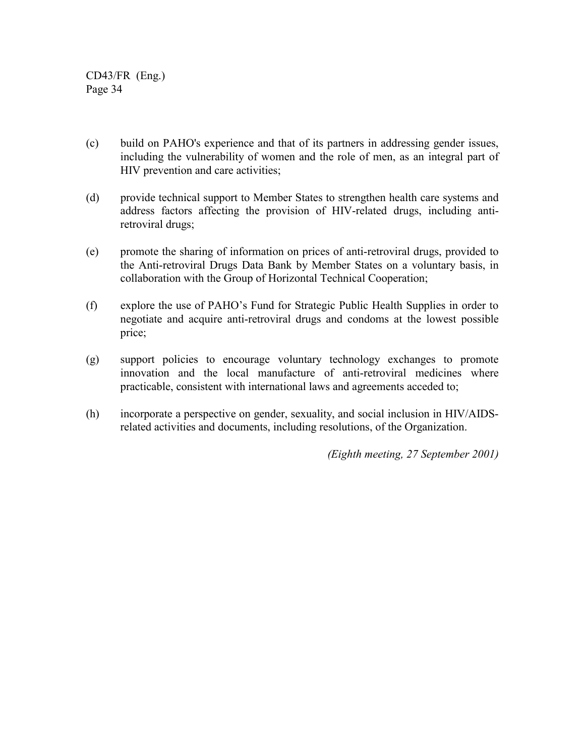- (c) build on PAHO's experience and that of its partners in addressing gender issues, including the vulnerability of women and the role of men, as an integral part of HIV prevention and care activities;
- (d) provide technical support to Member States to strengthen health care systems and address factors affecting the provision of HIV-related drugs, including antiretroviral drugs;
- (e) promote the sharing of information on prices of anti-retroviral drugs, provided to the Anti-retroviral Drugs Data Bank by Member States on a voluntary basis, in collaboration with the Group of Horizontal Technical Cooperation;
- (f) explore the use of PAHO's Fund for Strategic Public Health Supplies in order to negotiate and acquire anti-retroviral drugs and condoms at the lowest possible price;
- (g) support policies to encourage voluntary technology exchanges to promote innovation and the local manufacture of anti-retroviral medicines where practicable, consistent with international laws and agreements acceded to;
- (h) incorporate a perspective on gender, sexuality, and social inclusion in HIV/AIDSrelated activities and documents, including resolutions, of the Organization.

*(Eighth meeting, 27 September 2001)*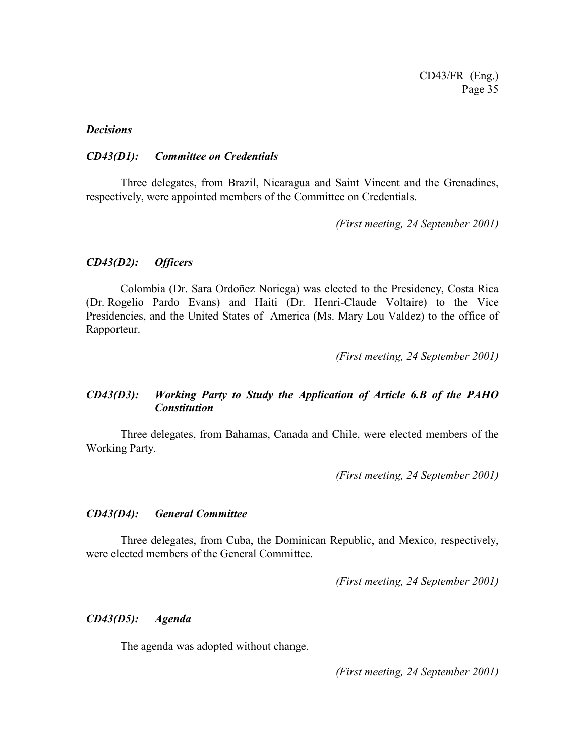#### *Decisions*

#### *CD43(D1): Committee on Credentials*

Three delegates, from Brazil, Nicaragua and Saint Vincent and the Grenadines, respectively, were appointed members of the Committee on Credentials.

*(First meeting, 24 September 2001)*

### *CD43(D2): Officers*

Colombia (Dr. Sara Ordoñez Noriega) was elected to the Presidency, Costa Rica (Dr. Rogelio Pardo Evans) and Haiti (Dr. Henri-Claude Voltaire) to the Vice Presidencies, and the United States of America (Ms. Mary Lou Valdez) to the office of Rapporteur.

*(First meeting, 24 September 2001)*

### *CD43(D3): Working Party to Study the Application of Article 6.B of the PAHO Constitution*

Three delegates, from Bahamas, Canada and Chile, were elected members of the Working Party.

*(First meeting, 24 September 2001)*

#### *CD43(D4): General Committee*

Three delegates, from Cuba, the Dominican Republic, and Mexico, respectively, were elected members of the General Committee.

*(First meeting, 24 September 2001)*

#### *CD43(D5): Agenda*

The agenda was adopted without change.

*(First meeting, 24 September 2001)*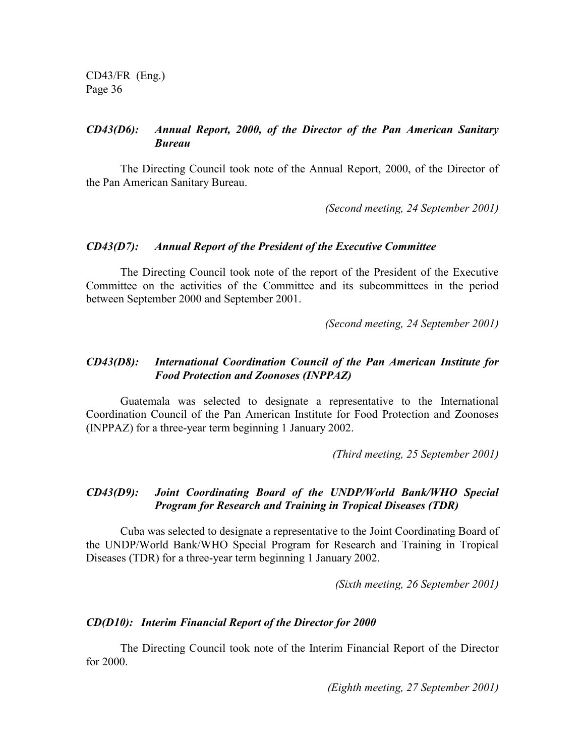### *CD43(D6): Annual Report, 2000, of the Director of the Pan American Sanitary Bureau*

The Directing Council took note of the Annual Report, 2000, of the Director of the Pan American Sanitary Bureau.

*(Second meeting, 24 September 2001)*

#### *CD43(D7): Annual Report of the President of the Executive Committee*

The Directing Council took note of the report of the President of the Executive Committee on the activities of the Committee and its subcommittees in the period between September 2000 and September 2001.

*(Second meeting, 24 September 2001)*

### *CD43(D8): International Coordination Council of the Pan American Institute for Food Protection and Zoonoses (INPPAZ)*

Guatemala was selected to designate a representative to the International Coordination Council of the Pan American Institute for Food Protection and Zoonoses (INPPAZ) for a three-year term beginning 1 January 2002.

*(Third meeting, 25 September 2001)*

### *CD43(D9): Joint Coordinating Board of the UNDP/World Bank/WHO Special Program for Research and Training in Tropical Diseases (TDR)*

Cuba was selected to designate a representative to the Joint Coordinating Board of the UNDP/World Bank/WHO Special Program for Research and Training in Tropical Diseases (TDR) for a three-year term beginning 1 January 2002.

*(Sixth meeting, 26 September 2001)*

### *CD(D10): Interim Financial Report of the Director for 2000*

The Directing Council took note of the Interim Financial Report of the Director for 2000.

*(Eighth meeting, 27 September 2001)*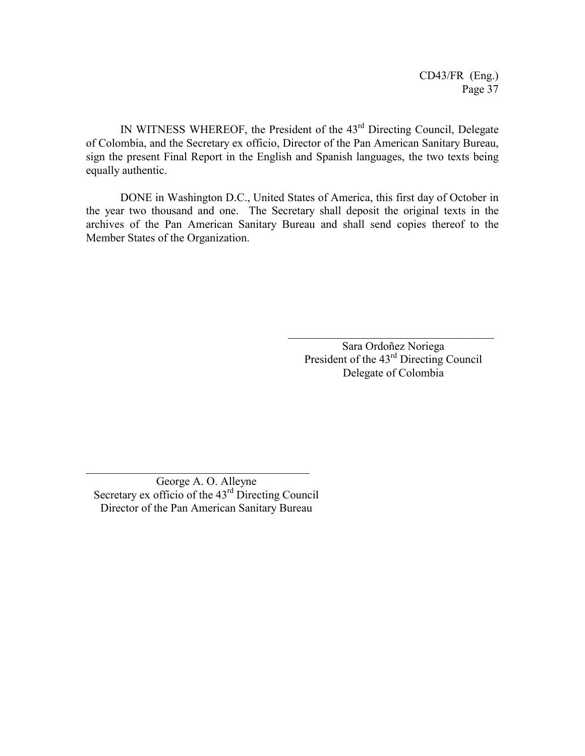CD43/FR (Eng.) Page 37

IN WITNESS WHEREOF, the President of the 43rd Directing Council, Delegate of Colombia, and the Secretary ex officio, Director of the Pan American Sanitary Bureau, sign the present Final Report in the English and Spanish languages, the two texts being equally authentic.

DONE in Washington D.C., United States of America, this first day of October in the year two thousand and one. The Secretary shall deposit the original texts in the archives of the Pan American Sanitary Bureau and shall send copies thereof to the Member States of the Organization.

> Sara Ordoñez Noriega President of the 43<sup>rd</sup> Directing Council Delegate of Colombia

 $\mathcal{L}_\text{max}$ 

George A. O. Alleyne Secretary ex officio of the  $43<sup>rd</sup>$  Directing Council Director of the Pan American Sanitary Bureau

 $\mathcal{L}_\text{max}$  and  $\mathcal{L}_\text{max}$  and  $\mathcal{L}_\text{max}$  and  $\mathcal{L}_\text{max}$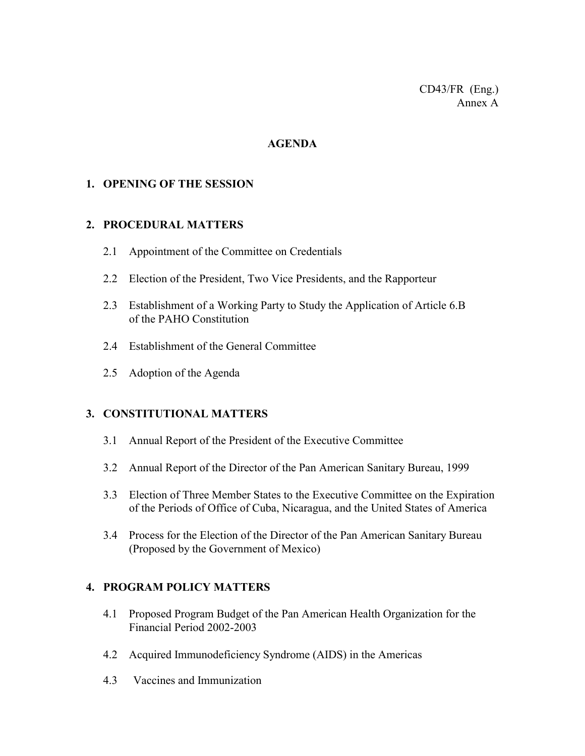CD43/FR (Eng.) Annex A

### **AGENDA**

### **1. OPENING OF THE SESSION**

### **2. PROCEDURAL MATTERS**

- 2.1 Appointment of the Committee on Credentials
- 2.2 Election of the President, Two Vice Presidents, and the Rapporteur
- 2.3 Establishment of a Working Party to Study the Application of Article 6.B of the PAHO Constitution
- 2.4 Establishment of the General Committee
- 2.5 Adoption of the Agenda

# **3. CONSTITUTIONAL MATTERS**

- 3.1 Annual Report of the President of the Executive Committee
- 3.2 Annual Report of the Director of the Pan American Sanitary Bureau, 1999
- 3.3 Election of Three Member States to the Executive Committee on the Expiration of the Periods of Office of Cuba, Nicaragua, and the United States of America
- 3.4 Process for the Election of the Director of the Pan American Sanitary Bureau (Proposed by the Government of Mexico)

# **4. PROGRAM POLICY MATTERS**

- 4.1 Proposed Program Budget of the Pan American Health Organization for the Financial Period 2002-2003
- 4.2 Acquired Immunodeficiency Syndrome (AIDS) in the Americas
- 4.3 Vaccines and Immunization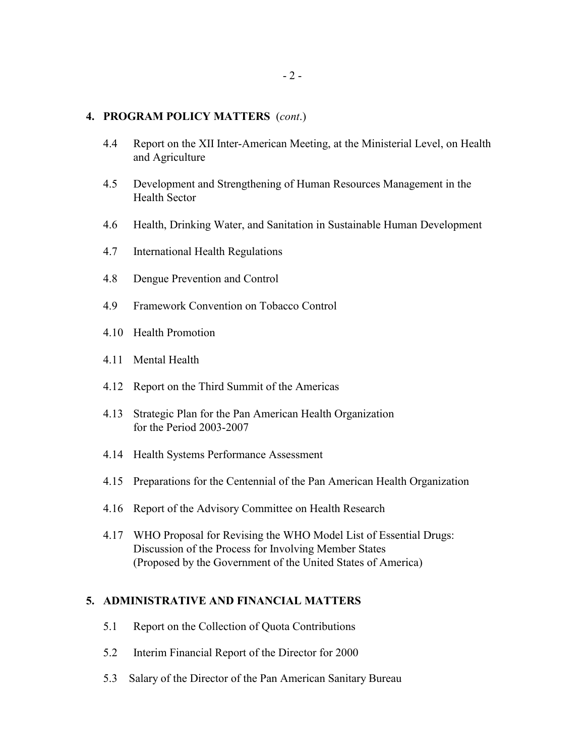#### **4. PROGRAM POLICY MATTERS** (*cont*.)

- 4.4 Report on the XII Inter-American Meeting, at the Ministerial Level, on Health and Agriculture
- 4.5 Development and Strengthening of Human Resources Management in the Health Sector
- 4.6 Health, Drinking Water, and Sanitation in Sustainable Human Development
- 4.7 International Health Regulations
- 4.8 Dengue Prevention and Control
- 4.9 Framework Convention on Tobacco Control
- 4.10 Health Promotion
- 4.11 Mental Health
- 4.12 Report on the Third Summit of the Americas
- 4.13 Strategic Plan for the Pan American Health Organization for the Period 2003-2007
- 4.14 Health Systems Performance Assessment
- 4.15 Preparations for the Centennial of the Pan American Health Organization
- 4.16 Report of the Advisory Committee on Health Research
- 4.17 WHO Proposal for Revising the WHO Model List of Essential Drugs: Discussion of the Process for Involving Member States (Proposed by the Government of the United States of America)

### **5. ADMINISTRATIVE AND FINANCIAL MATTERS**

- 5.1 Report on the Collection of Quota Contributions
- 5.2 Interim Financial Report of the Director for 2000
- 5.3 Salary of the Director of the Pan American Sanitary Bureau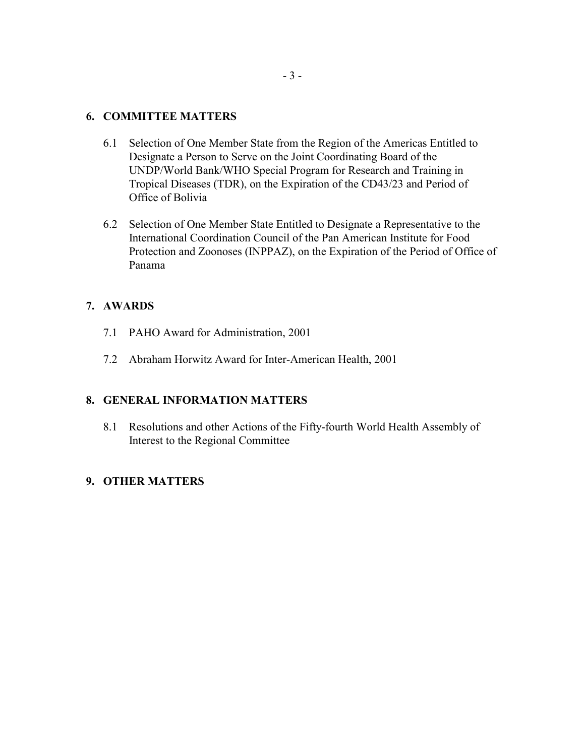### **6. COMMITTEE MATTERS**

- 6.1 Selection of One Member State from the Region of the Americas Entitled to Designate a Person to Serve on the Joint Coordinating Board of the UNDP/World Bank/WHO Special Program for Research and Training in Tropical Diseases (TDR), on the Expiration of the CD43/23 and Period of Office of Bolivia
- 6.2 Selection of One Member State Entitled to Designate a Representative to the International Coordination Council of the Pan American Institute for Food Protection and Zoonoses (INPPAZ), on the Expiration of the Period of Office of Panama

### **7. AWARDS**

- 7.1 PAHO Award for Administration, 2001
- 7.2 Abraham Horwitz Award for Inter-American Health, 2001

### **8. GENERAL INFORMATION MATTERS**

8.1 Resolutions and other Actions of the Fifty-fourth World Health Assembly of Interest to the Regional Committee

### **9. OTHER MATTERS**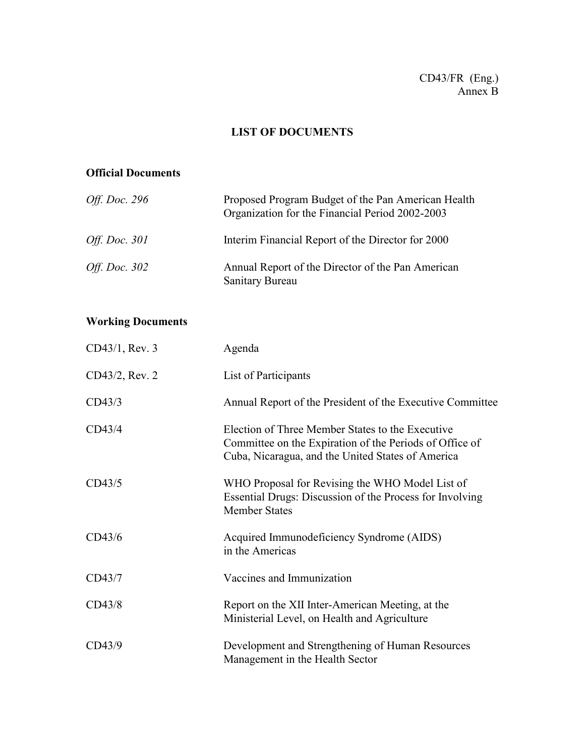# CD43/FR (Eng.) Annex B

# **LIST OF DOCUMENTS**

# **Official Documents**

| <i>Off. Doc.</i> 296 | Proposed Program Budget of the Pan American Health<br>Organization for the Financial Period 2002-2003 |
|----------------------|-------------------------------------------------------------------------------------------------------|
| <i>Off. Doc.</i> 301 | Interim Financial Report of the Director for 2000                                                     |
| <i>Off. Doc.</i> 302 | Annual Report of the Director of the Pan American<br>Sanitary Bureau                                  |

# **Working Documents**

| CD43/1, Rev. 3 | Agenda                                                                                                                                                           |
|----------------|------------------------------------------------------------------------------------------------------------------------------------------------------------------|
| CD43/2, Rev. 2 | List of Participants                                                                                                                                             |
| CD43/3         | Annual Report of the President of the Executive Committee                                                                                                        |
| CD43/4         | Election of Three Member States to the Executive<br>Committee on the Expiration of the Periods of Office of<br>Cuba, Nicaragua, and the United States of America |
| CD43/5         | WHO Proposal for Revising the WHO Model List of<br>Essential Drugs: Discussion of the Process for Involving<br><b>Member States</b>                              |
| CD43/6         | Acquired Immunodeficiency Syndrome (AIDS)<br>in the Americas                                                                                                     |
| CD43/7         | Vaccines and Immunization                                                                                                                                        |
| CD43/8         | Report on the XII Inter-American Meeting, at the<br>Ministerial Level, on Health and Agriculture                                                                 |
| CD43/9         | Development and Strengthening of Human Resources<br>Management in the Health Sector                                                                              |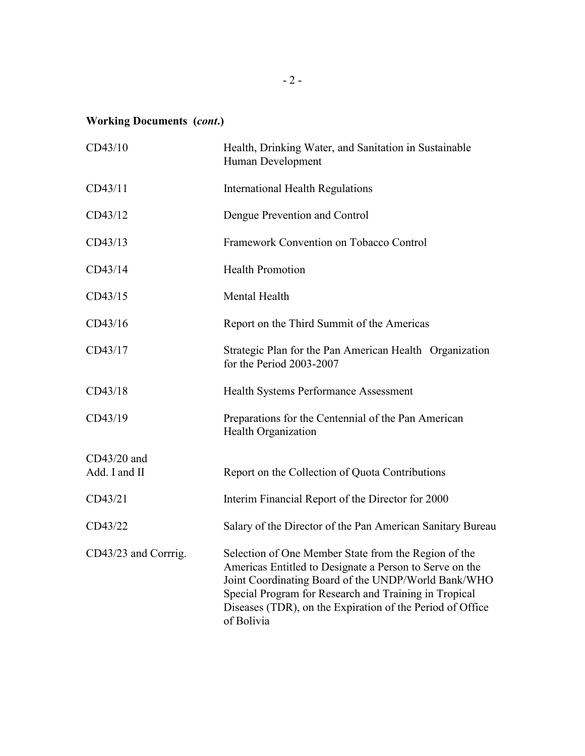# **Working Documents (***cont***.)**

| CD43/10                        | Health, Drinking Water, and Sanitation in Sustainable<br>Human Development                                                                                                                                                                                                                                 |
|--------------------------------|------------------------------------------------------------------------------------------------------------------------------------------------------------------------------------------------------------------------------------------------------------------------------------------------------------|
| CD43/11                        | <b>International Health Regulations</b>                                                                                                                                                                                                                                                                    |
| CD43/12                        | Dengue Prevention and Control                                                                                                                                                                                                                                                                              |
| CD43/13                        | Framework Convention on Tobacco Control                                                                                                                                                                                                                                                                    |
| CD43/14                        | <b>Health Promotion</b>                                                                                                                                                                                                                                                                                    |
| CD43/15                        | Mental Health                                                                                                                                                                                                                                                                                              |
| CD43/16                        | Report on the Third Summit of the Americas                                                                                                                                                                                                                                                                 |
| CD43/17                        | Strategic Plan for the Pan American Health Organization<br>for the Period 2003-2007                                                                                                                                                                                                                        |
| CD43/18                        | Health Systems Performance Assessment                                                                                                                                                                                                                                                                      |
| CD43/19                        | Preparations for the Centennial of the Pan American<br>Health Organization                                                                                                                                                                                                                                 |
| $CD43/20$ and<br>Add. I and II | Report on the Collection of Quota Contributions                                                                                                                                                                                                                                                            |
|                                |                                                                                                                                                                                                                                                                                                            |
| CD43/21                        | Interim Financial Report of the Director for 2000                                                                                                                                                                                                                                                          |
| CD43/22                        | Salary of the Director of the Pan American Sanitary Bureau                                                                                                                                                                                                                                                 |
| CD43/23 and Corrrig.           | Selection of One Member State from the Region of the<br>Americas Entitled to Designate a Person to Serve on the<br>Joint Coordinating Board of the UNDP/World Bank/WHO<br>Special Program for Research and Training in Tropical<br>Diseases (TDR), on the Expiration of the Period of Office<br>of Bolivia |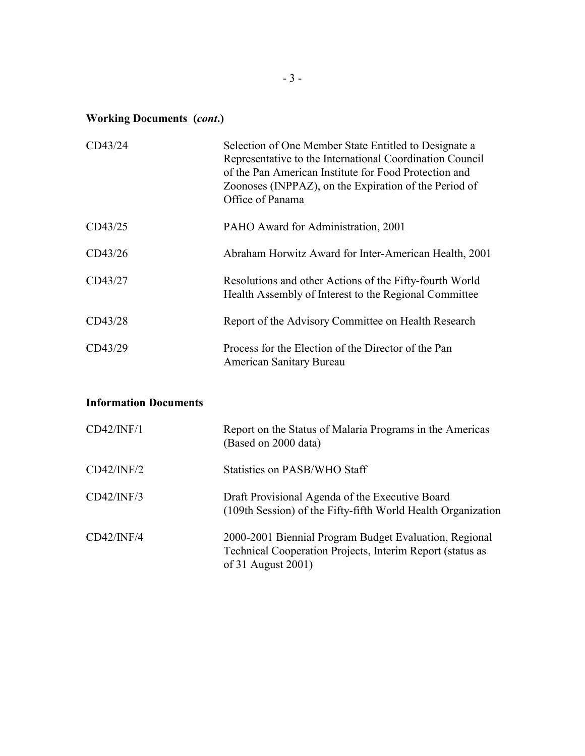# **Working Documents (***cont***.)**

| CD43/24                      | Selection of One Member State Entitled to Designate a<br>Representative to the International Coordination Council<br>of the Pan American Institute for Food Protection and<br>Zoonoses (INPPAZ), on the Expiration of the Period of<br>Office of Panama |
|------------------------------|---------------------------------------------------------------------------------------------------------------------------------------------------------------------------------------------------------------------------------------------------------|
| CD43/25                      | PAHO Award for Administration, 2001                                                                                                                                                                                                                     |
| CD43/26                      | Abraham Horwitz Award for Inter-American Health, 2001                                                                                                                                                                                                   |
| CD43/27                      | Resolutions and other Actions of the Fifty-fourth World<br>Health Assembly of Interest to the Regional Committee                                                                                                                                        |
| CD43/28                      | Report of the Advisory Committee on Health Research                                                                                                                                                                                                     |
| CD43/29                      | Process for the Election of the Director of the Pan<br><b>American Sanitary Bureau</b>                                                                                                                                                                  |
| <b>Information Documents</b> |                                                                                                                                                                                                                                                         |
| CD42/INF/1                   | Report on the Status of Malaria Programs in the Americas<br>(Based on 2000 data)                                                                                                                                                                        |
| CD42/INF/2                   | <b>Statistics on PASB/WHO Staff</b>                                                                                                                                                                                                                     |
| CD42/INF/3                   | Draft Provisional Agenda of the Executive Board<br>(109th Session) of the Fifty-fifth World Health Organization                                                                                                                                         |
| CD42/INF/4                   | 2000-2001 Biennial Program Budget Evaluation, Regional<br>Technical Cooperation Projects, Interim Report (status as<br>of 31 August 2001)                                                                                                               |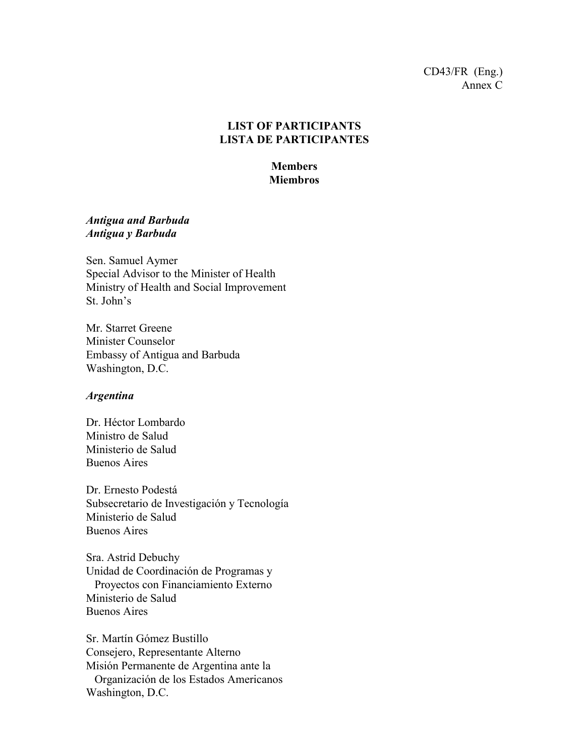### CD43/FR (Eng.) Annex C

# **LIST OF PARTICIPANTS LISTA DE PARTICIPANTES**

# **Members Miembros**

### *Antigua and Barbuda Antigua y Barbuda*

Sen. Samuel Aymer Special Advisor to the Minister of Health Ministry of Health and Social Improvement St. John's

Mr. Starret Greene Minister Counselor Embassy of Antigua and Barbuda Washington, D.C.

#### *Argentina*

Dr. Héctor Lombardo Ministro de Salud Ministerio de Salud Buenos Aires

Dr. Ernesto Podestá Subsecretario de Investigación y Tecnología Ministerio de Salud Buenos Aires

Sra. Astrid Debuchy Unidad de Coordinación de Programas y Proyectos con Financiamiento Externo Ministerio de Salud Buenos Aires

Sr. Martín Gómez Bustillo Consejero, Representante Alterno Misión Permanente de Argentina ante la Organización de los Estados Americanos Washington, D.C.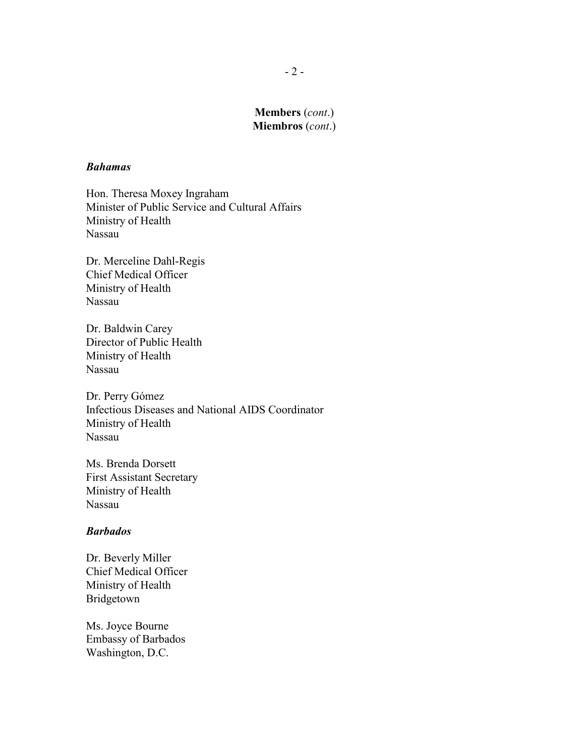#### *Bahamas*

Hon. Theresa Moxey Ingraham Minister of Public Service and Cultural Affairs Ministry of Health Nassau

Dr. Merceline Dahl-Regis Chief Medical Officer Ministry of Health Nassau

Dr. Baldwin Carey Director of Public Health Ministry of Health Nassau

Dr. Perry Gómez Infectious Diseases and National AIDS Coordinator Ministry of Health Nassau

Ms. Brenda Dorsett First Assistant Secretary Ministry of Health Nassau

#### *Barbados*

Dr. Beverly Miller Chief Medical Officer Ministry of Health Bridgetown

Ms. Joyce Bourne Embassy of Barbados Washington, D.C.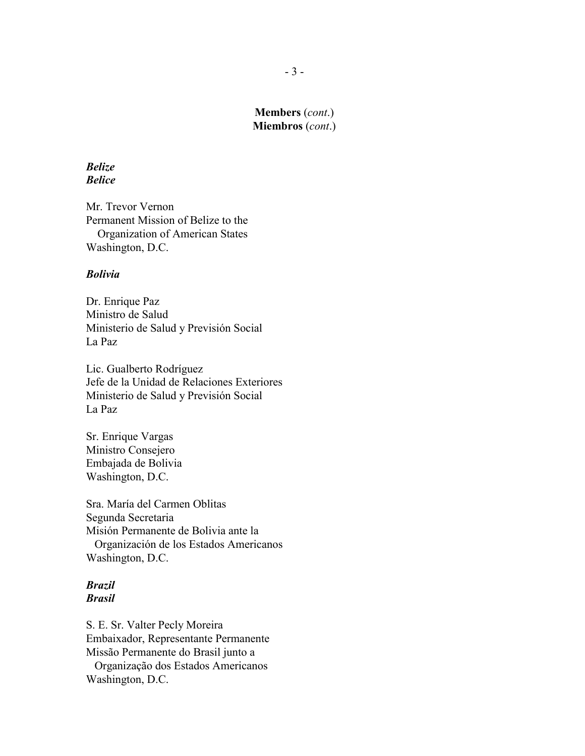### *Belize Belice*

Mr. Trevor Vernon Permanent Mission of Belize to the Organization of American States Washington, D.C.

### *Bolivia*

Dr. Enrique Paz Ministro de Salud Ministerio de Salud y Previsión Social La Paz

Lic. Gualberto Rodríguez Jefe de la Unidad de Relaciones Exteriores Ministerio de Salud y Previsión Social La Paz

Sr. Enrique Vargas Ministro Consejero Embajada de Bolivia Washington, D.C.

Sra. María del Carmen Oblitas Segunda Secretaria Misión Permanente de Bolivia ante la Organización de los Estados Americanos Washington, D.C.

### *Brazil Brasil*

S. E. Sr. Valter Pecly Moreira Embaixador, Representante Permanente Missão Permanente do Brasil junto a Organização dos Estados Americanos

Washington, D.C.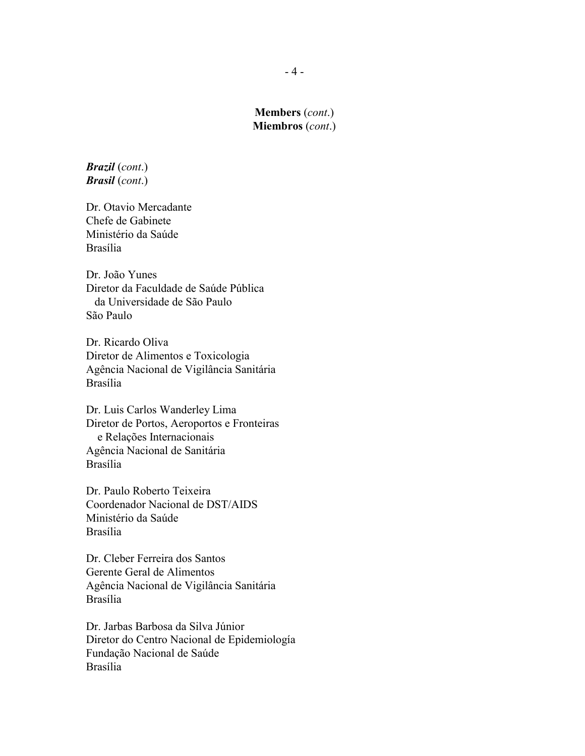*Brazil* (*cont*.) *Brasil* (*cont*.)

Dr. Otavio Mercadante Chefe de Gabinete Ministério da Saúde Brasília

Dr. João Yunes Diretor da Faculdade de Saúde Pública da Universidade de São Paulo São Paulo

Dr. Ricardo Oliva Diretor de Alimentos e Toxicologia Agência Nacional de Vigilância Sanitária Brasília

Dr. Luis Carlos Wanderley Lima Diretor de Portos, Aeroportos e Fronteiras e Relações Internacionais Agência Nacional de Sanitária Brasília

Dr. Paulo Roberto Teixeira Coordenador Nacional de DST/AIDS Ministério da Saúde Brasília

Dr. Cleber Ferreira dos Santos Gerente Geral de Alimentos Agência Nacional de Vigilância Sanitária Brasília

Dr. Jarbas Barbosa da Silva Júnior Diretor do Centro Nacional de Epidemiología Fundação Nacional de Saúde Brasília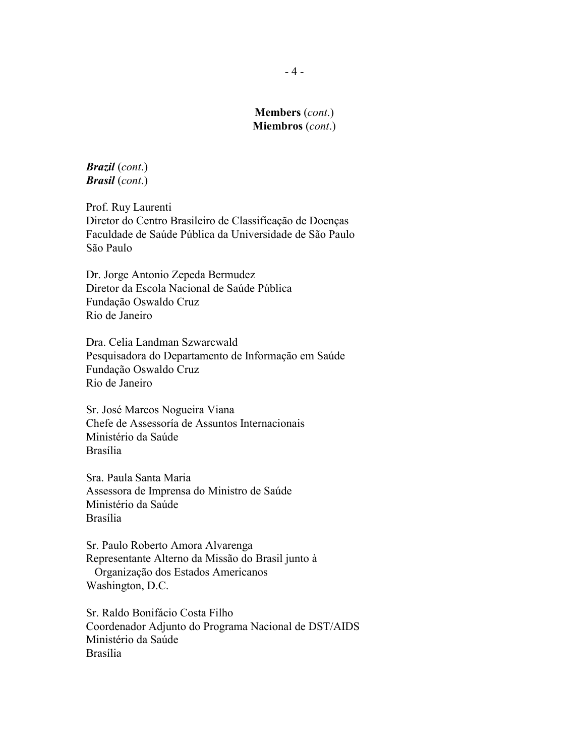*Brazil* (*cont*.) *Brasil* (*cont*.)

Prof. Ruy Laurenti Diretor do Centro Brasileiro de Classificação de Doenças Faculdade de Saúde Pública da Universidade de São Paulo São Paulo

Dr. Jorge Antonio Zepeda Bermudez Diretor da Escola Nacional de Saúde Pública Fundação Oswaldo Cruz Rio de Janeiro

Dra. Celia Landman Szwarcwald Pesquisadora do Departamento de Informação em Saúde Fundação Oswaldo Cruz Rio de Janeiro

Sr. José Marcos Nogueira Viana Chefe de Assessoría de Assuntos Internacionais Ministério da Saúde Brasília

Sra. Paula Santa Maria Assessora de Imprensa do Ministro de Saúde Ministério da Saúde Brasília

Sr. Paulo Roberto Amora Alvarenga Representante Alterno da Missão do Brasil junto à Organização dos Estados Americanos Washington, D.C.

Sr. Raldo Bonifácio Costa Filho Coordenador Adjunto do Programa Nacional de DST/AIDS Ministério da Saúde Brasília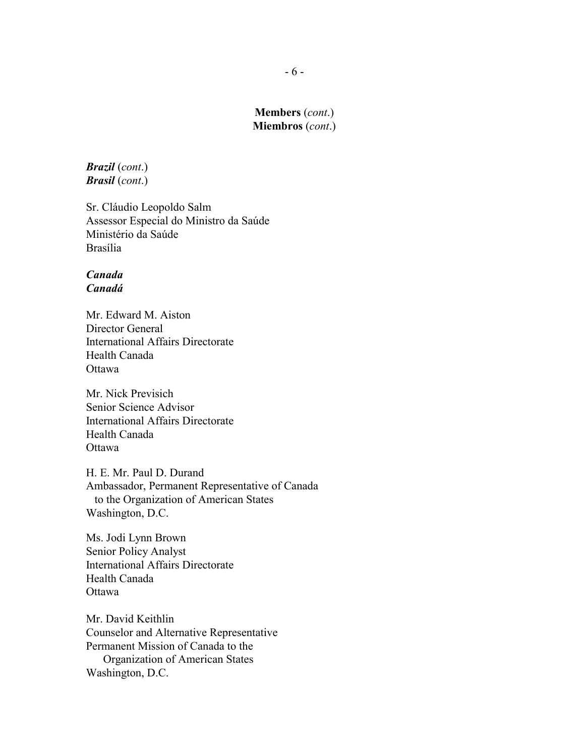*Brazil* (*cont*.) *Brasil* (*cont*.)

Sr. Cláudio Leopoldo Salm Assessor Especial do Ministro da Saúde Ministério da Saúde Brasília

### *Canada Canadá*

Mr. Edward M. Aiston Director General International Affairs Directorate Health Canada Ottawa

Mr. Nick Previsich Senior Science Advisor International Affairs Directorate Health Canada Ottawa

H. E. Mr. Paul D. Durand Ambassador, Permanent Representative of Canada to the Organization of American States Washington, D.C.

Ms. Jodi Lynn Brown Senior Policy Analyst International Affairs Directorate Health Canada **Ottawa** 

Mr. David Keithlin Counselor and Alternative Representative Permanent Mission of Canada to the Organization of American States Washington, D.C.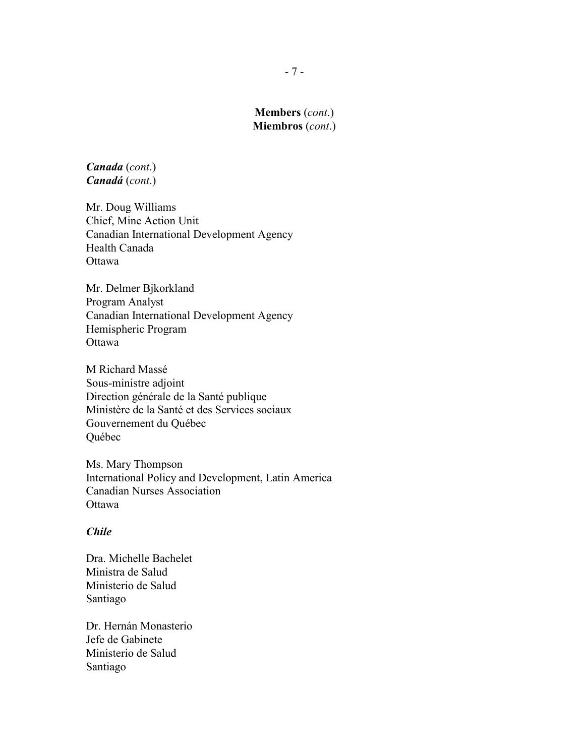*Canada* (*cont*.) *Canadá* (*cont*.)

Mr. Doug Williams Chief, Mine Action Unit Canadian International Development Agency Health Canada Ottawa

Mr. Delmer Bjkorkland Program Analyst Canadian International Development Agency Hemispheric Program **Ottawa** 

M Richard Massé Sous-ministre adjoint Direction générale de la Santé publique Ministère de la Santé et des Services sociaux Gouvernement du Québec Québec

Ms. Mary Thompson International Policy and Development, Latin America Canadian Nurses Association Ottawa

### *Chile*

Dra. Michelle Bachelet Ministra de Salud Ministerio de Salud Santiago

Dr. Hernán Monasterio Jefe de Gabinete Ministerio de Salud Santiago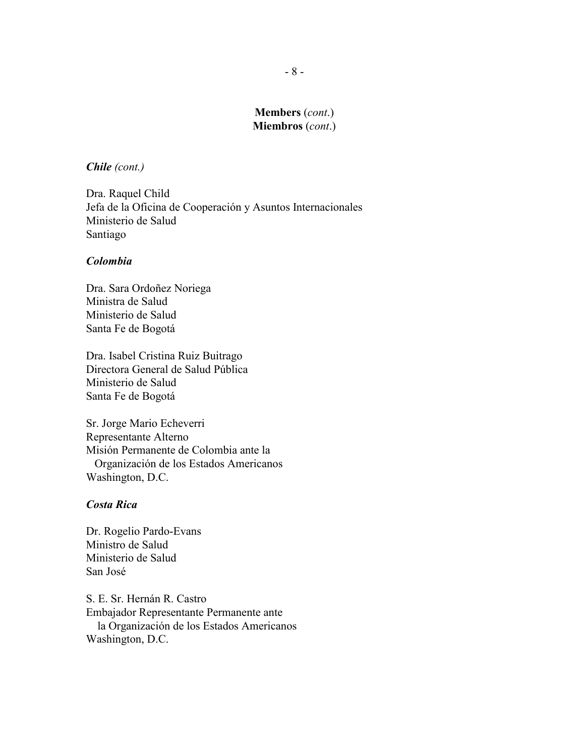#### *Chile (cont.)*

Dra. Raquel Child Jefa de la Oficina de Cooperación y Asuntos Internacionales Ministerio de Salud Santiago

#### *Colombia*

Dra. Sara Ordoñez Noriega Ministra de Salud Ministerio de Salud Santa Fe de Bogotá

Dra. Isabel Cristina Ruiz Buitrago Directora General de Salud Pública Ministerio de Salud Santa Fe de Bogotá

Sr. Jorge Mario Echeverri Representante Alterno Misión Permanente de Colombia ante la Organización de los Estados Americanos Washington, D.C.

### *Costa Rica*

Dr. Rogelio Pardo-Evans Ministro de Salud Ministerio de Salud San José

S. E. Sr. Hernán R. Castro Embajador Representante Permanente ante la Organización de los Estados Americanos Washington, D.C.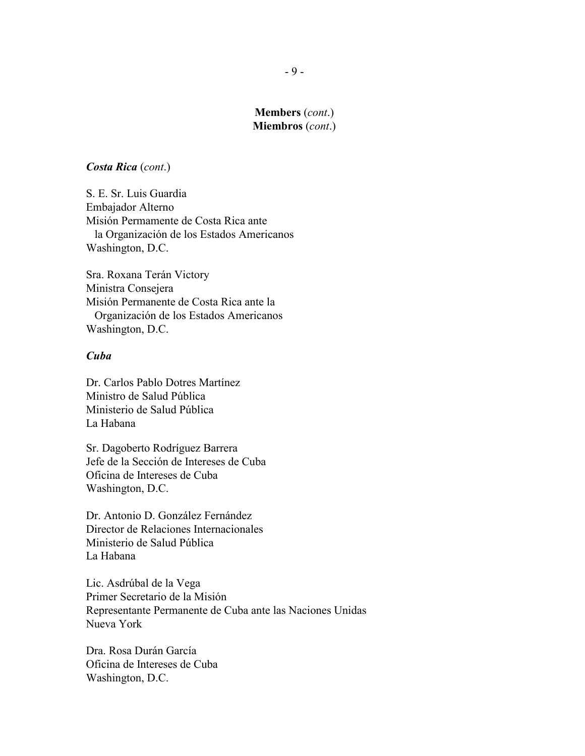#### *Costa Rica* (*cont*.)

S. E. Sr. Luis Guardia Embajador Alterno Misión Permamente de Costa Rica ante la Organización de los Estados Americanos Washington, D.C.

Sra. Roxana Terán Victory Ministra Consejera Misión Permanente de Costa Rica ante la Organización de los Estados Americanos Washington, D.C.

#### *Cuba*

Dr. Carlos Pablo Dotres Martínez Ministro de Salud Pública Ministerio de Salud Pública La Habana

Sr. Dagoberto Rodríguez Barrera Jefe de la Sección de Intereses de Cuba Oficina de Intereses de Cuba Washington, D.C.

Dr. Antonio D. González Fernández Director de Relaciones Internacionales Ministerio de Salud Pública La Habana

Lic. Asdrúbal de la Vega Primer Secretario de la Misión Representante Permanente de Cuba ante las Naciones Unidas Nueva York

Dra. Rosa Durán García Oficina de Intereses de Cuba Washington, D.C.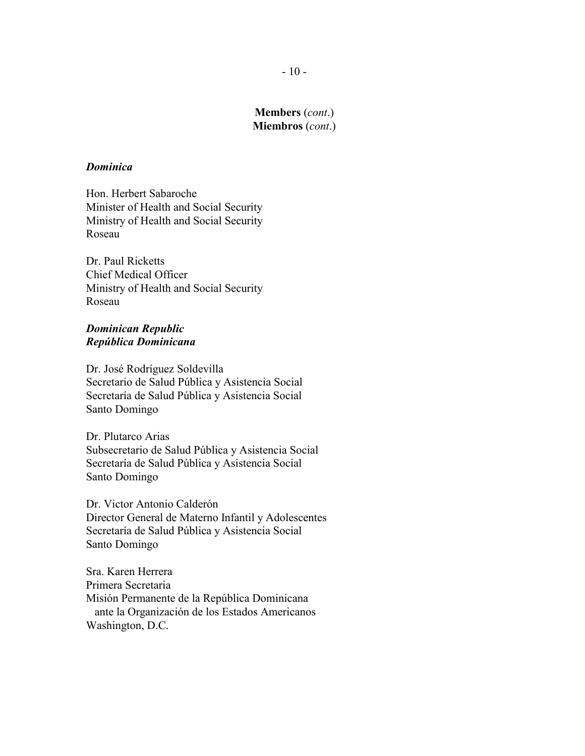### *Dominica*

Hon. Herbert Sabaroche Minister of Health and Social Security Ministry of Health and Social Security Roseau

Dr. Paul Ricketts Chief Medical Officer Ministry of Health and Social Security Roseau

#### *Dominican Republic República Dominicana*

Dr. José Rodríguez Soldevilla Secretario de Salud Pública y Asistencia Social Secretaría de Salud Pública y Asistencia Social Santo Domingo

Dr. Plutarco Arias Subsecretario de Salud Pública y Asistencia Social Secretaría de Salud Pública y Asistencia Social Santo Domingo

Dr. Victor Antonio Calderón Director General de Materno Infantil y Adolescentes Secretaría de Salud Pública y Asistencia Social Santo Domingo

Sra. Karen Herrera Primera Secretaria Misión Permanente de la República Dominicana ante la Organización de los Estados Americanos Washington, D.C.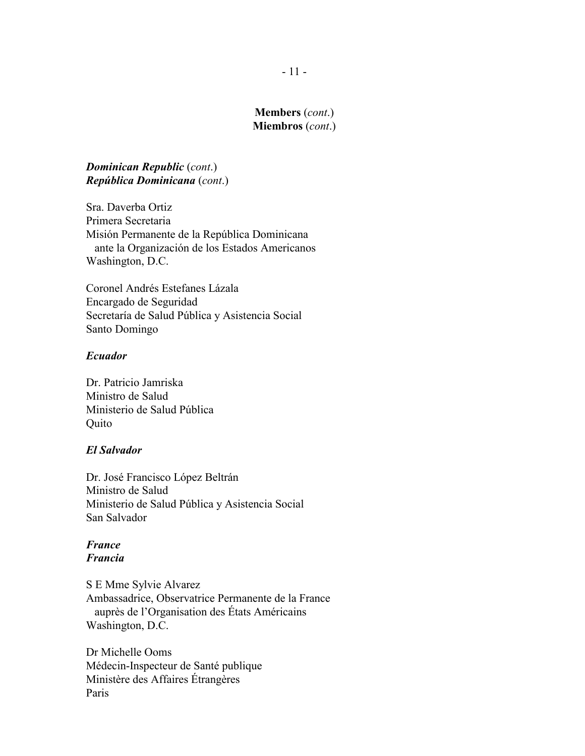### *Dominican Republic* (*cont*.) *República Dominicana* (*cont*.)

Sra. Daverba Ortiz Primera Secretaria Misión Permanente de la República Dominicana ante la Organización de los Estados Americanos Washington, D.C.

Coronel Andrés Estefanes Lázala Encargado de Seguridad Secretaría de Salud Pública y Asistencia Social Santo Domingo

#### *Ecuador*

Dr. Patricio Jamriska Ministro de Salud Ministerio de Salud Pública Quito

#### *El Salvador*

Dr. José Francisco López Beltrán Ministro de Salud Ministerio de Salud Pública y Asistencia Social San Salvador

### *France Francia*

S E Mme Sylvie Alvarez Ambassadrice, Observatrice Permanente de la France auprès de l'Organisation des États Américains Washington, D.C.

Dr Michelle Ooms Médecin-Inspecteur de Santé publique Ministère des Affaires Étrangères Paris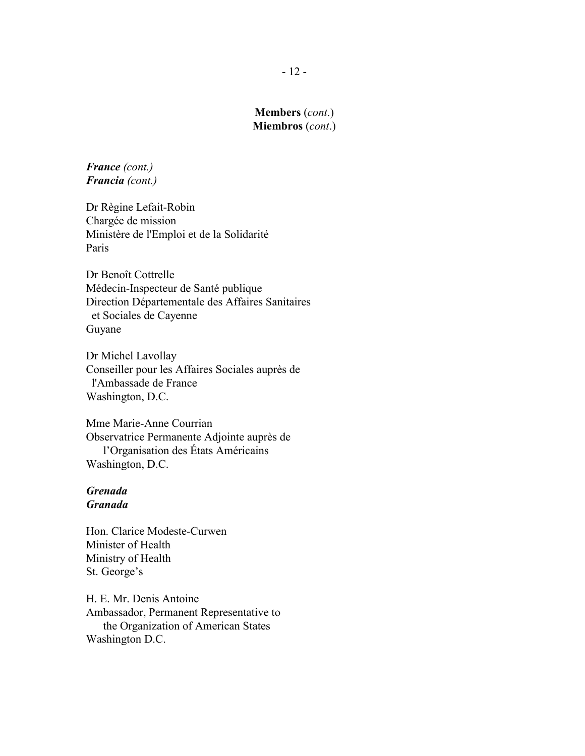*France (cont.) Francia (cont.)*

Dr Règine Lefait-Robin Chargée de mission Ministère de l'Emploi et de la Solidarité Paris

Dr Benoît Cottrelle Médecin-Inspecteur de Santé publique Direction Départementale des Affaires Sanitaires et Sociales de Cayenne Guyane

Dr Michel Lavollay Conseiller pour les Affaires Sociales auprès de l'Ambassade de France Washington, D.C.

Mme Marie-Anne Courrian Observatrice Permanente Adjointe auprès de l'Organisation des États Américains Washington, D.C.

### *Grenada Granada*

Hon. Clarice Modeste-Curwen Minister of Health Ministry of Health St. George's

H. E. Mr. Denis Antoine Ambassador, Permanent Representative to the Organization of American States Washington D.C.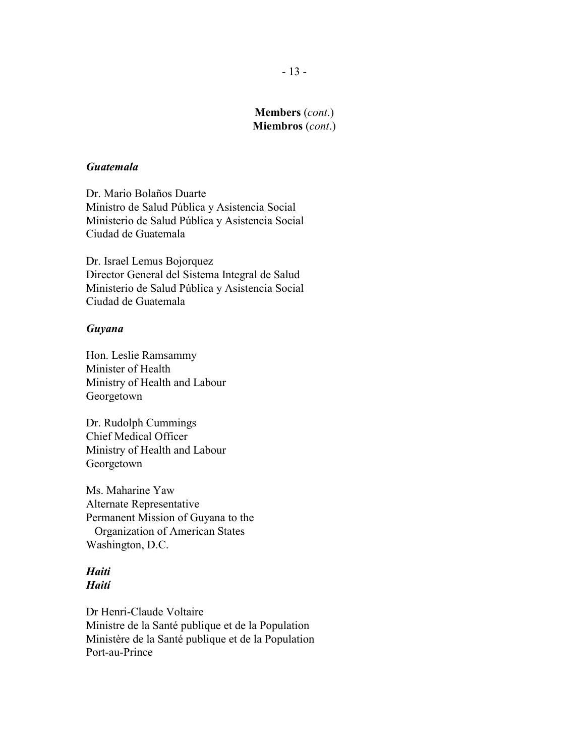#### *Guatemala*

Dr. Mario Bolaños Duarte Ministro de Salud Pública y Asistencia Social Ministerio de Salud Pública y Asistencia Social Ciudad de Guatemala

Dr. Israel Lemus Bojorquez Director General del Sistema Integral de Salud Ministerio de Salud Pública y Asistencia Social Ciudad de Guatemala

#### *Guyana*

Hon. Leslie Ramsammy Minister of Health Ministry of Health and Labour Georgetown

Dr. Rudolph Cummings Chief Medical Officer Ministry of Health and Labour Georgetown

Ms. Maharine Yaw Alternate Representative Permanent Mission of Guyana to the Organization of American States Washington, D.C.

### *Haiti Haití*

Dr Henri-Claude Voltaire Ministre de la Santé publique et de la Population Ministère de la Santé publique et de la Population Port-au-Prince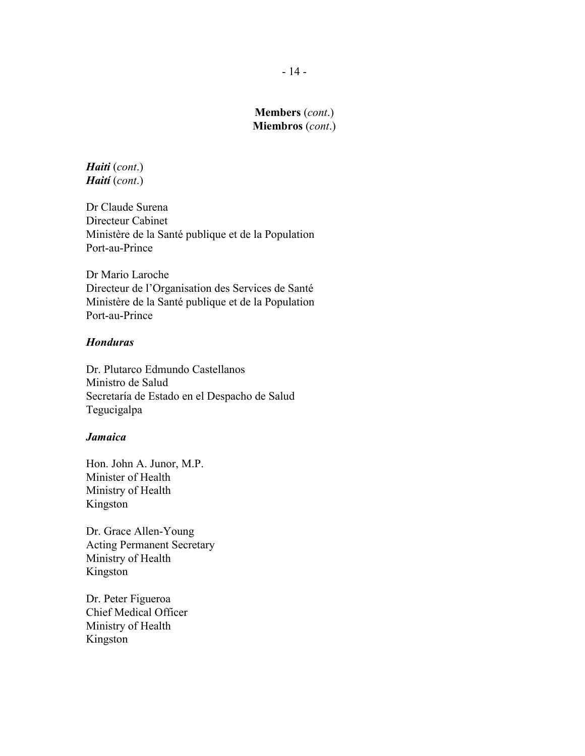*Haiti* (*cont*.) *Haití* (*cont*.)

Dr Claude Surena Directeur Cabinet Ministère de la Santé publique et de la Population Port-au-Prince

Dr Mario Laroche Directeur de l'Organisation des Services de Santé Ministère de la Santé publique et de la Population Port-au-Prince

### *Honduras*

Dr. Plutarco Edmundo Castellanos Ministro de Salud Secretaría de Estado en el Despacho de Salud Tegucigalpa

### *Jamaica*

Hon. John A. Junor, M.P. Minister of Health Ministry of Health Kingston

Dr. Grace Allen-Young Acting Permanent Secretary Ministry of Health Kingston

Dr. Peter Figueroa Chief Medical Officer Ministry of Health Kingston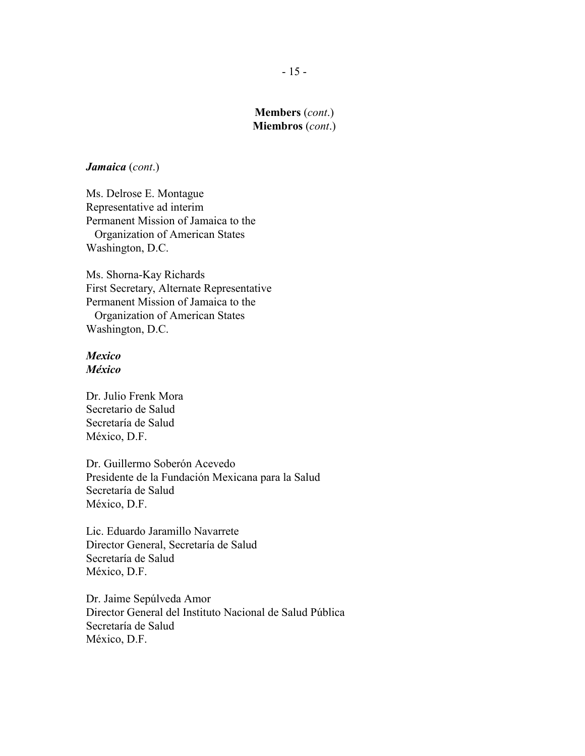#### *Jamaica* (*cont*.)

Ms. Delrose E. Montague Representative ad interim Permanent Mission of Jamaica to the Organization of American States Washington, D.C.

Ms. Shorna-Kay Richards First Secretary, Alternate Representative Permanent Mission of Jamaica to the Organization of American States Washington, D.C.

### *Mexico México*

Dr. Julio Frenk Mora Secretario de Salud Secretaría de Salud México, D.F.

Dr. Guillermo Soberón Acevedo Presidente de la Fundación Mexicana para la Salud Secretaría de Salud México, D.F.

Lic. Eduardo Jaramillo Navarrete Director General, Secretaría de Salud Secretaría de Salud México, D.F.

Dr. Jaime Sepúlveda Amor Director General del Instituto Nacional de Salud Pública Secretaría de Salud México, D.F.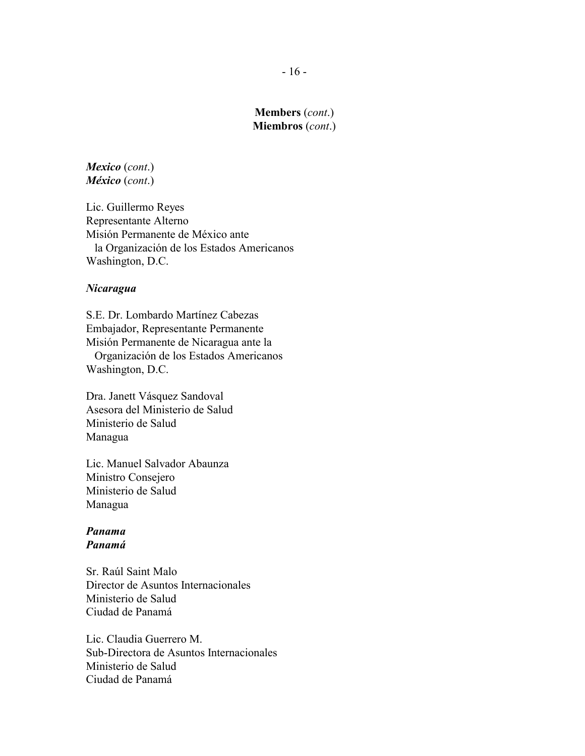*Mexico* (*cont*.) *México* (*cont*.)

Lic. Guillermo Reyes Representante Alterno Misión Permanente de México ante la Organización de los Estados Americanos Washington, D.C.

#### *Nicaragua*

S.E. Dr. Lombardo Martínez Cabezas Embajador, Representante Permanente Misión Permanente de Nicaragua ante la Organización de los Estados Americanos Washington, D.C.

Dra. Janett Vásquez Sandoval Asesora del Ministerio de Salud Ministerio de Salud Managua

Lic. Manuel Salvador Abaunza Ministro Consejero Ministerio de Salud Managua

#### *Panama Panamá*

Sr. Raúl Saint Malo Director de Asuntos Internacionales Ministerio de Salud Ciudad de Panamá

Lic. Claudia Guerrero M. Sub-Directora de Asuntos Internacionales Ministerio de Salud Ciudad de Panamá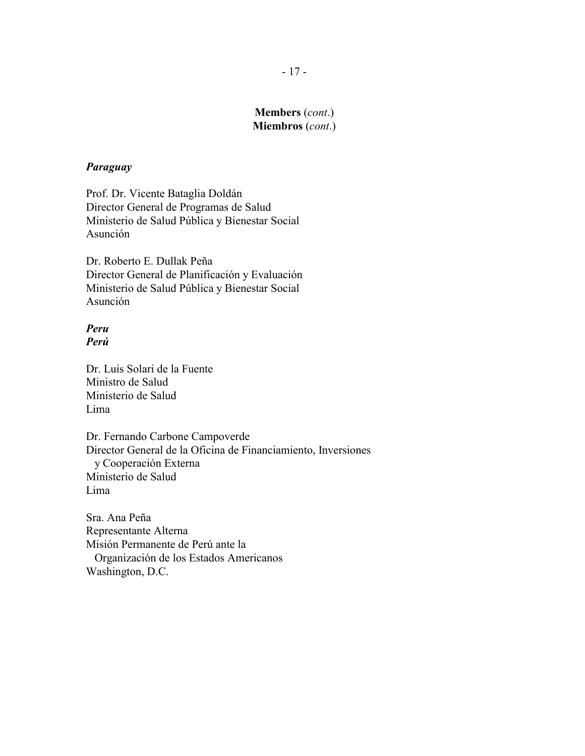#### *Paraguay*

Prof. Dr. Vicente Bataglia Doldán Director General de Programas de Salud Ministerio de Salud Pública y Bienestar Social Asunción

Dr. Roberto E. Dullak Peña Director General de Planificación y Evaluación Ministerio de Salud Pública y Bienestar Social Asunción

### *Peru Perú*

Dr. Luis Solari de la Fuente Ministro de Salud Ministerio de Salud Lima

Dr. Fernando Carbone Campoverde Director General de la Oficina de Financiamiento, Inversiones y Cooperación Externa Ministerio de Salud Lima

Sra. Ana Peña Representante Alterna Misión Permanente de Perú ante la Organización de los Estados Americanos Washington, D.C.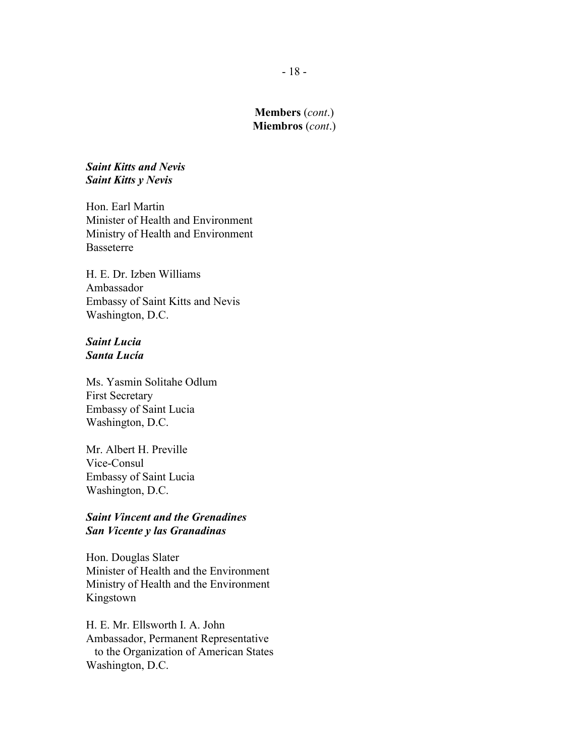### *Saint Kitts and Nevis Saint Kitts y Nevis*

Hon. Earl Martin Minister of Health and Environment Ministry of Health and Environment Basseterre

H. E. Dr. Izben Williams Ambassador Embassy of Saint Kitts and Nevis Washington, D.C.

### *Saint Lucia Santa Lucía*

Ms. Yasmin Solitahe Odlum First Secretary Embassy of Saint Lucia Washington, D.C.

Mr. Albert H. Preville Vice-Consul Embassy of Saint Lucia Washington, D.C.

### *Saint Vincent and the Grenadines San Vicente y las Granadinas*

Hon. Douglas Slater Minister of Health and the Environment Ministry of Health and the Environment Kingstown

H. E. Mr. Ellsworth I. A. John Ambassador, Permanent Representative to the Organization of American States Washington, D.C.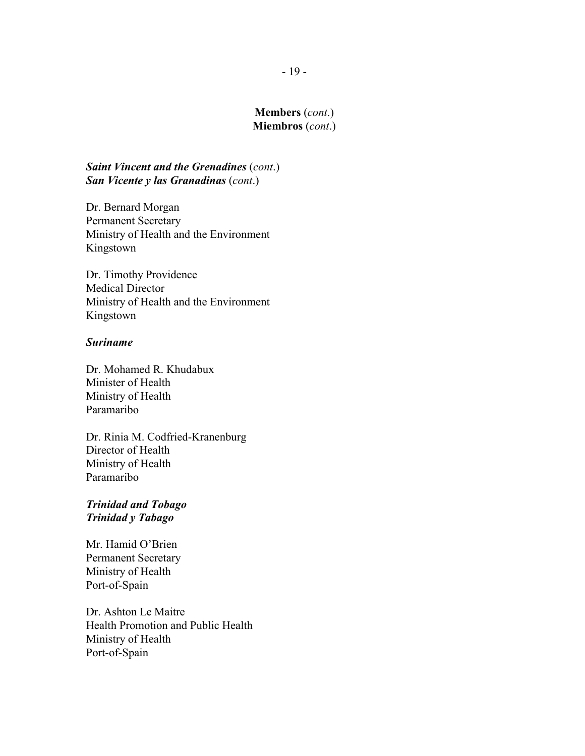### *Saint Vincent and the Grenadines* (*cont*.) *San Vicente y las Granadinas* (*cont*.)

Dr. Bernard Morgan Permanent Secretary Ministry of Health and the Environment Kingstown

Dr. Timothy Providence Medical Director Ministry of Health and the Environment Kingstown

#### *Suriname*

Dr. Mohamed R. Khudabux Minister of Health Ministry of Health Paramaribo

Dr. Rinia M. Codfried-Kranenburg Director of Health Ministry of Health Paramaribo

### *Trinidad and Tobago Trinidad y Tabago*

Mr. Hamid O'Brien Permanent Secretary Ministry of Health Port-of-Spain

Dr. Ashton Le Maitre Health Promotion and Public Health Ministry of Health Port-of-Spain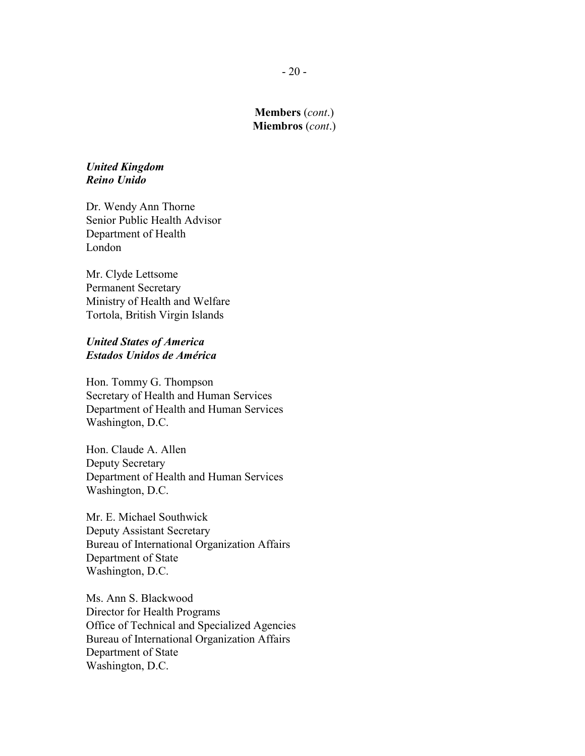#### *United Kingdom Reino Unido*

Dr. Wendy Ann Thorne Senior Public Health Advisor Department of Health London

Mr. Clyde Lettsome Permanent Secretary Ministry of Health and Welfare Tortola, British Virgin Islands

### *United States of America Estados Unidos de América*

Hon. Tommy G. Thompson Secretary of Health and Human Services Department of Health and Human Services Washington, D.C.

Hon. Claude A. Allen Deputy Secretary Department of Health and Human Services Washington, D.C.

Mr. E. Michael Southwick Deputy Assistant Secretary Bureau of International Organization Affairs Department of State Washington, D.C.

Ms. Ann S. Blackwood Director for Health Programs Office of Technical and Specialized Agencies Bureau of International Organization Affairs Department of State Washington, D.C.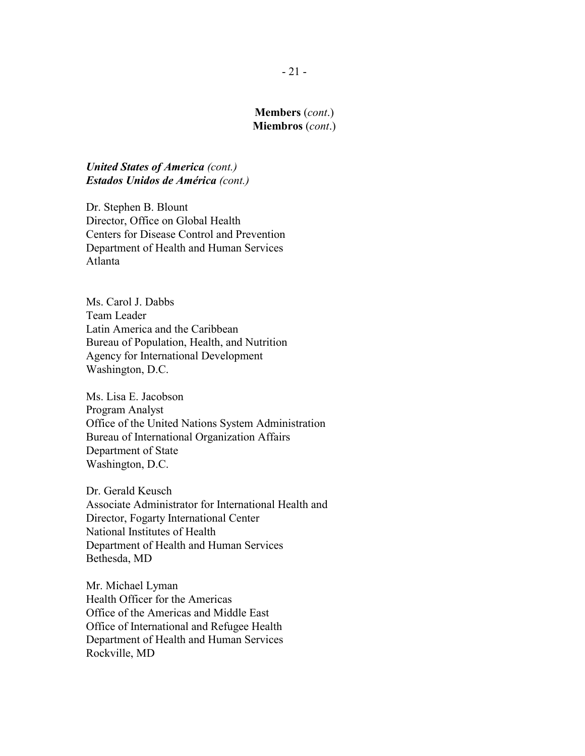*United States of America (cont.) Estados Unidos de América (cont.)*

Dr. Stephen B. Blount Director, Office on Global Health Centers for Disease Control and Prevention Department of Health and Human Services Atlanta

Ms. Carol J. Dabbs Team Leader Latin America and the Caribbean Bureau of Population, Health, and Nutrition Agency for International Development Washington, D.C.

Ms. Lisa E. Jacobson Program Analyst Office of the United Nations System Administration Bureau of International Organization Affairs Department of State Washington, D.C.

Dr. Gerald Keusch Associate Administrator for International Health and Director, Fogarty International Center National Institutes of Health Department of Health and Human Services Bethesda, MD

Mr. Michael Lyman Health Officer for the Americas Office of the Americas and Middle East Office of International and Refugee Health Department of Health and Human Services Rockville, MD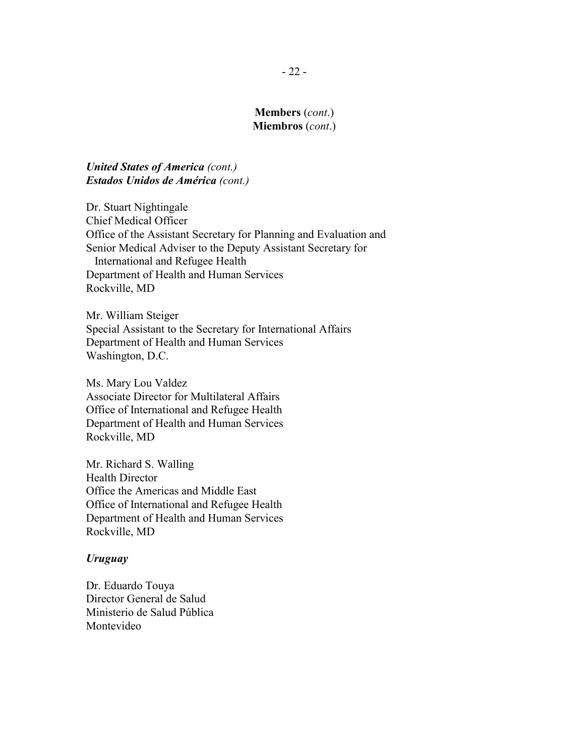### *United States of America (cont.) Estados Unidos de América (cont.)*

Dr. Stuart Nightingale Chief Medical Officer Office of the Assistant Secretary for Planning and Evaluation and Senior Medical Adviser to the Deputy Assistant Secretary for International and Refugee Health Department of Health and Human Services Rockville, MD

Mr. William Steiger Special Assistant to the Secretary for International Affairs Department of Health and Human Services Washington, D.C.

Ms. Mary Lou Valdez Associate Director for Multilateral Affairs Office of International and Refugee Health Department of Health and Human Services Rockville, MD

Mr. Richard S. Walling Health Director Office the Americas and Middle East Office of International and Refugee Health Department of Health and Human Services Rockville, MD

#### *Uruguay*

Dr. Eduardo Touya Director General de Salud Ministerio de Salud Pública Montevideo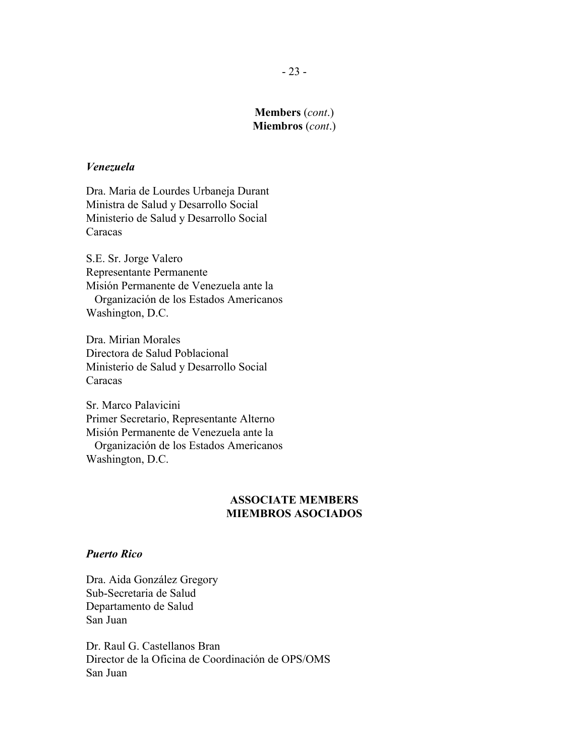#### *Venezuela*

Dra. Maria de Lourdes Urbaneja Durant Ministra de Salud y Desarrollo Social Ministerio de Salud y Desarrollo Social **Caracas** 

S.E. Sr. Jorge Valero Representante Permanente Misión Permanente de Venezuela ante la Organización de los Estados Americanos Washington, D.C.

Dra. Mirian Morales Directora de Salud Poblacional Ministerio de Salud y Desarrollo Social Caracas

Sr. Marco Palavicini Primer Secretario, Representante Alterno Misión Permanente de Venezuela ante la Organización de los Estados Americanos Washington, D.C.

# **ASSOCIATE MEMBERS MIEMBROS ASOCIADOS**

#### *Puerto Rico*

Dra. Aida González Gregory Sub-Secretaria de Salud Departamento de Salud San Juan

Dr. Raul G. Castellanos Bran Director de la Oficina de Coordinación de OPS/OMS San Juan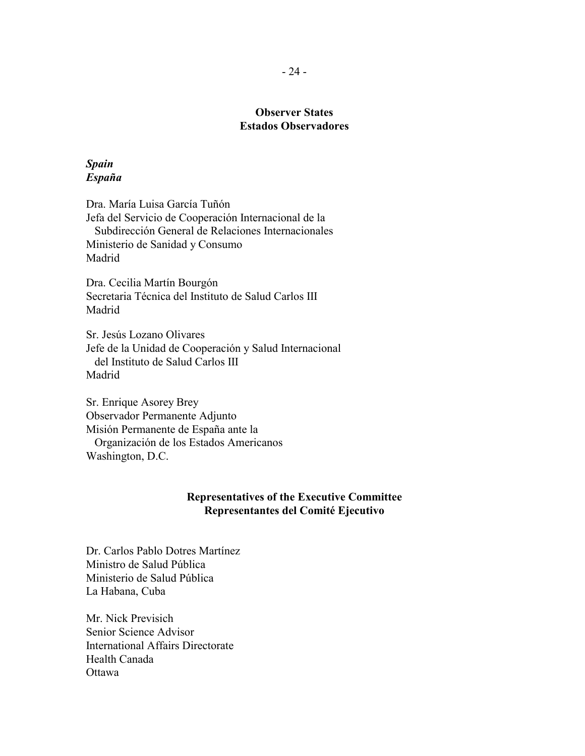# **Observer States Estados Observadores**

### *Spain España*

Dra. María Luisa García Tuñón Jefa del Servicio de Cooperación Internacional de la Subdirección General de Relaciones Internacionales Ministerio de Sanidad y Consumo Madrid

Dra. Cecilia Martín Bourgón Secretaria Técnica del Instituto de Salud Carlos III Madrid

Sr. Jesús Lozano Olivares Jefe de la Unidad de Cooperación y Salud Internacional del Instituto de Salud Carlos III Madrid

Sr. Enrique Asorey Brey Observador Permanente Adjunto Misión Permanente de España ante la Organización de los Estados Americanos Washington, D.C.

### **Representatives of the Executive Committee Representantes del Comité Ejecutivo**

Dr. Carlos Pablo Dotres Martínez Ministro de Salud Pública Ministerio de Salud Pública La Habana, Cuba

Mr. Nick Previsich Senior Science Advisor International Affairs Directorate Health Canada Ottawa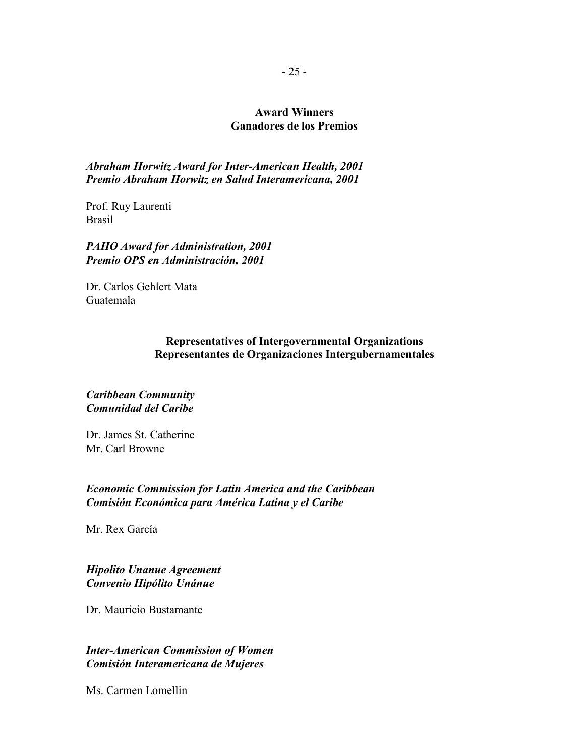# **Award Winners Ganadores de los Premios**

*Abraham Horwitz Award for Inter-American Health, 2001 Premio Abraham Horwitz en Salud Interamericana, 2001*

Prof. Ruy Laurenti Brasil

*PAHO Award for Administration, 2001 Premio OPS en Administración, 2001*

Dr. Carlos Gehlert Mata Guatemala

### **Representatives of Intergovernmental Organizations Representantes de Organizaciones Intergubernamentales**

### *Caribbean Community Comunidad del Caribe*

Dr. James St. Catherine Mr. Carl Browne

*Economic Commission for Latin America and the Caribbean Comisión Económica para América Latina y el Caribe*

Mr. Rex García

*Hipolito Unanue Agreement Convenio Hipólito Unánue*

Dr. Mauricio Bustamante

*Inter-American Commission of Women Comisión Interamericana de Mujeres*

Ms. Carmen Lomellin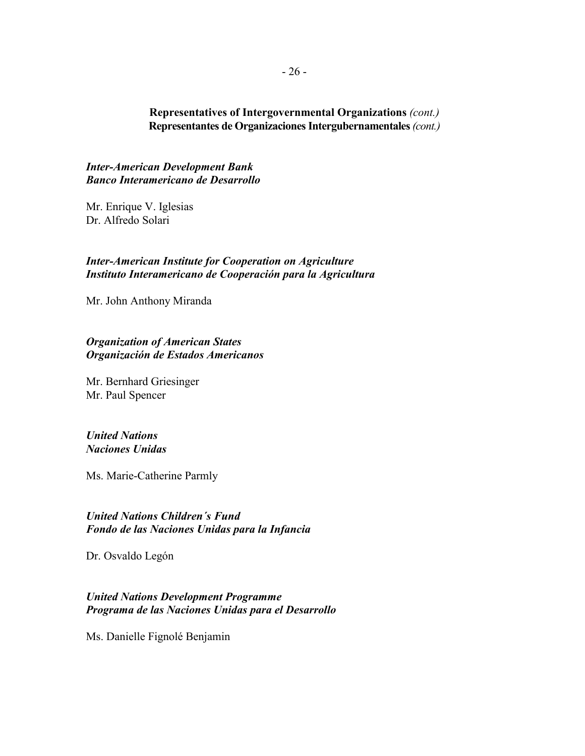### **Representatives of Intergovernmental Organizations** *(cont.)* **Representantes de Organizaciones Intergubernamentales** *(cont.)*

*Inter-American Development Bank Banco Interamericano de Desarrollo*

Mr. Enrique V. Iglesias Dr. Alfredo Solari

#### *Inter-American Institute for Cooperation on Agriculture Instituto Interamericano de Cooperación para la Agricultura*

Mr. John Anthony Miranda

### *Organization of American States Organización de Estados Americanos*

Mr. Bernhard Griesinger Mr. Paul Spencer

#### *United Nations Naciones Unidas*

Ms. Marie-Catherine Parmly

*United Nations Children´s Fund Fondo de las Naciones Unidas para la Infancia*

Dr. Osvaldo Legón

*United Nations Development Programme Programa de las Naciones Unidas para el Desarrollo*

Ms. Danielle Fignolé Benjamin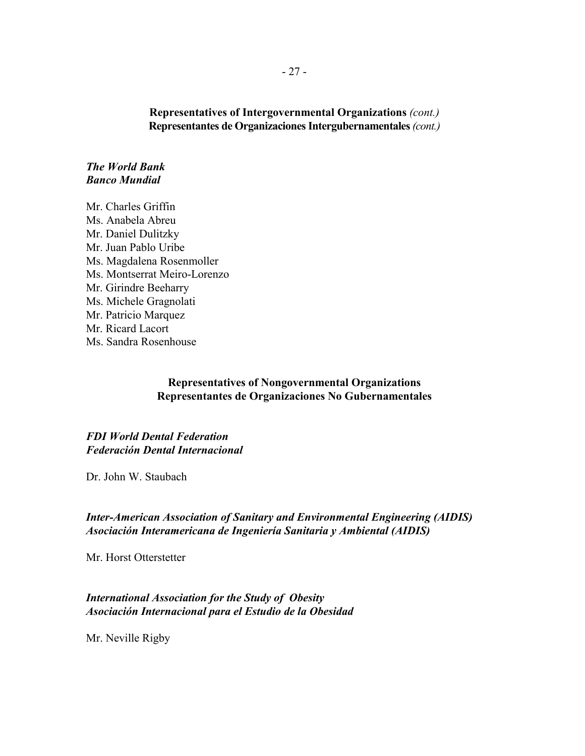**Representatives of Intergovernmental Organizations** *(cont.)* **Representantes de Organizaciones Intergubernamentales** *(cont.)*

*The World Bank Banco Mundial*

Mr. Charles Griffin Ms. Anabela Abreu Mr. Daniel Dulitzky Mr. Juan Pablo Uribe Ms. Magdalena Rosenmoller Ms. Montserrat Meiro-Lorenzo Mr. Girindre Beeharry Ms. Michele Gragnolati Mr. Patricio Marquez Mr. Ricard Lacort Ms. Sandra Rosenhouse

### **Representatives of Nongovernmental Organizations Representantes de Organizaciones No Gubernamentales**

*FDI World Dental Federation Federación Dental Internacional*

Dr. John W. Staubach

*Inter-American Association of Sanitary and Environmental Engineering (AIDIS) Asociación Interamericana de Ingeniería Sanitaria y Ambiental (AIDIS)*

Mr. Horst Otterstetter

*International Association for the Study of Obesity Asociación Internacional para el Estudio de la Obesidad*

Mr. Neville Rigby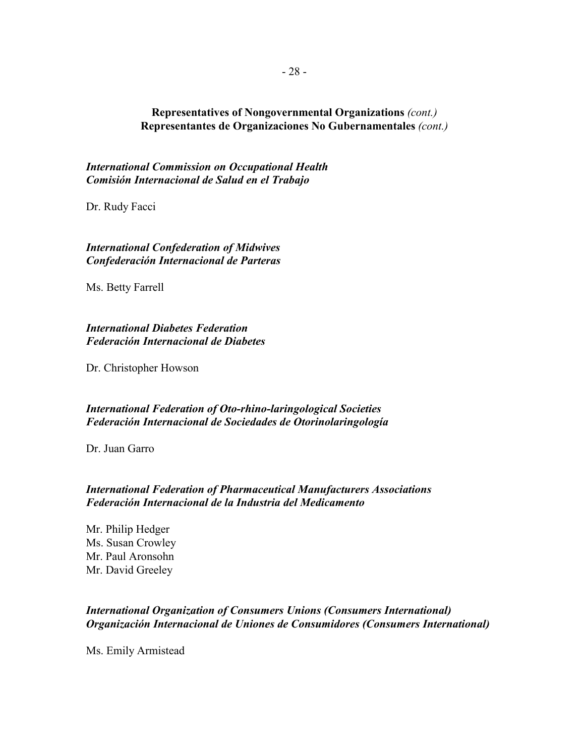# **Representatives of Nongovernmental Organizations** *(cont.)* **Representantes de Organizaciones No Gubernamentales** *(cont.)*

*International Commission on Occupational Health Comisión Internacional de Salud en el Trabajo*

Dr. Rudy Facci

*International Confederation of Midwives Confederación Internacional de Parteras*

Ms. Betty Farrell

*International Diabetes Federation Federación Internacional de Diabetes*

Dr. Christopher Howson

*International Federation of Oto-rhino-laringological Societies Federación Internacional de Sociedades de Otorinolaringología*

Dr. Juan Garro

### *International Federation of Pharmaceutical Manufacturers Associations Federación Internacional de la Industria del Medicamento*

Mr. Philip Hedger Ms. Susan Crowley Mr. Paul Aronsohn Mr. David Greeley

### *International Organization of Consumers Unions (Consumers International) Organización Internacional de Uniones de Consumidores (Consumers International)*

Ms. Emily Armistead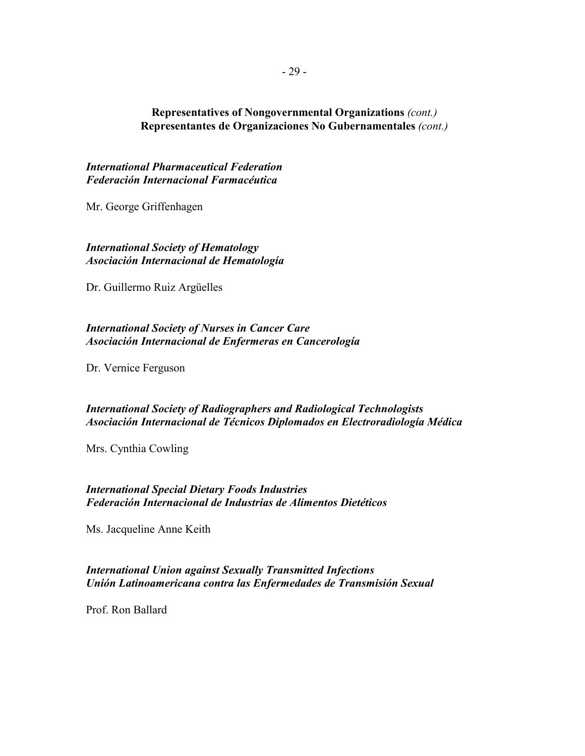### **Representatives of Nongovernmental Organizations** *(cont.)* **Representantes de Organizaciones No Gubernamentales** *(cont.)*

*International Pharmaceutical Federation Federación Internacional Farmacéutica*

Mr. George Griffenhagen

*International Society of Hematology Asociación Internacional de Hematología*

Dr. Guillermo Ruiz Argüelles

### *International Society of Nurses in Cancer Care Asociación Internacional de Enfermeras en Cancerología*

Dr. Vernice Ferguson

### *International Society of Radiographers and Radiological Technologists Asociación Internacional de Técnicos Diplomados en Electroradiología Médica*

Mrs. Cynthia Cowling

*International Special Dietary Foods Industries Federación Internacional de Industrias de Alimentos Dietéticos*

Ms. Jacqueline Anne Keith

*International Union against Sexually Transmitted Infections Unión Latinoamericana contra las Enfermedades de Transmisión Sexual*

Prof. Ron Ballard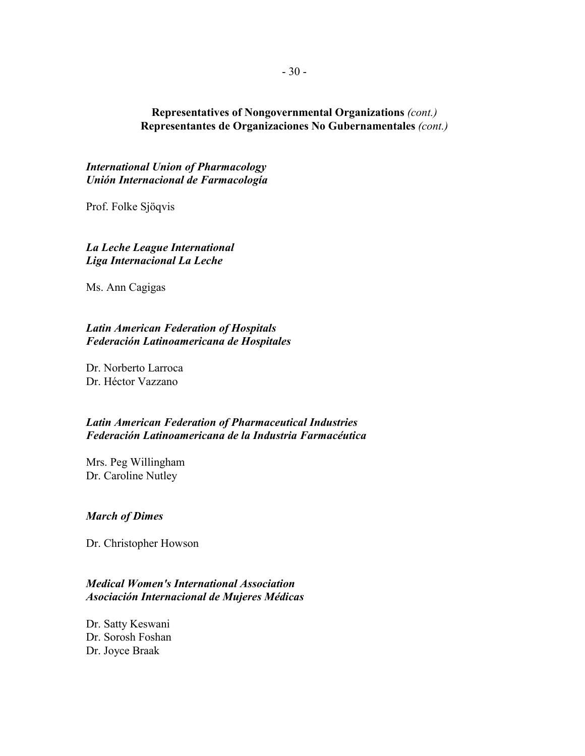## **Representatives of Nongovernmental Organizations** *(cont.)* **Representantes de Organizaciones No Gubernamentales** *(cont.)*

*International Union of Pharmacology Unión Internacional de Farmacología*

Prof. Folke Sjöqvis

*La Leche League International Liga Internacional La Leche*

Ms. Ann Cagigas

### *Latin American Federation of Hospitals Federación Latinoamericana de Hospitales*

Dr. Norberto Larroca Dr. Héctor Vazzano

### *Latin American Federation of Pharmaceutical Industries Federación Latinoamericana de la Industria Farmacéutica*

Mrs. Peg Willingham Dr. Caroline Nutley

#### *March of Dimes*

Dr. Christopher Howson

# *Medical Women's International Association Asociación Internacional de Mujeres Médicas*

Dr. Satty Keswani Dr. Sorosh Foshan Dr. Joyce Braak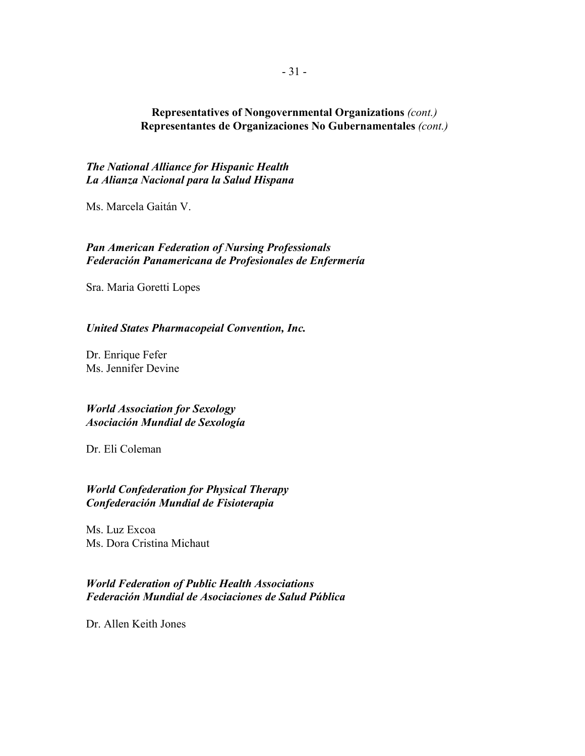## **Representatives of Nongovernmental Organizations** *(cont.)* **Representantes de Organizaciones No Gubernamentales** *(cont.)*

*The National Alliance for Hispanic Health La Alianza Nacional para la Salud Hispana*

Ms. Marcela Gaitán V.

## *Pan American Federation of Nursing Professionals Federación Panamericana de Profesionales de Enfermería*

Sra. Maria Goretti Lopes

#### *United States Pharmacopeial Convention, Inc.*

Dr. Enrique Fefer Ms. Jennifer Devine

*World Association for Sexology Asociación Mundial de Sexología*

Dr. Eli Coleman

*World Confederation for Physical Therapy Confederación Mundial de Fisioterapia*

Ms. Luz Excoa Ms. Dora Cristina Michaut

# *World Federation of Public Health Associations Federación Mundial de Asociaciones de Salud Pública*

Dr. Allen Keith Jones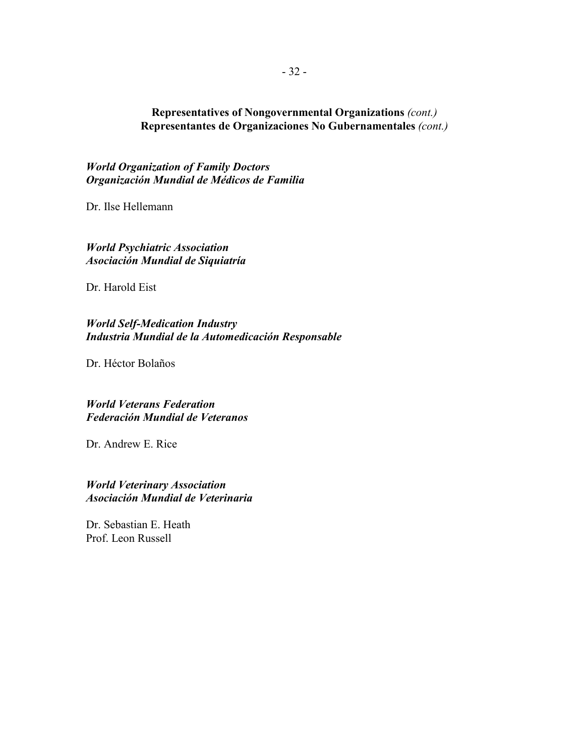# **Representatives of Nongovernmental Organizations** *(cont.)* **Representantes de Organizaciones No Gubernamentales** *(cont.)*

*World Organization of Family Doctors Organización Mundial de Médicos de Familia*

Dr. Ilse Hellemann

*World Psychiatric Association Asociación Mundial de Siquiatría*

Dr. Harold Eist

*World Self-Medication Industry Industria Mundial de la Automedicación Responsable*

Dr. Héctor Bolaños

*World Veterans Federation Federación Mundial de Veteranos*

Dr. Andrew E. Rice

*World Veterinary Association Asociación Mundial de Veterinaria*

Dr. Sebastian E. Heath Prof. Leon Russell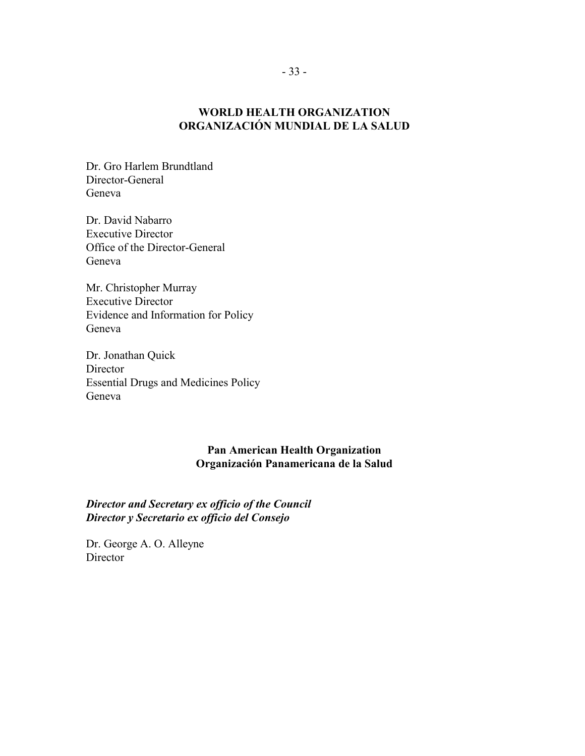# **WORLD HEALTH ORGANIZATION ORGANIZACIÓN MUNDIAL DE LA SALUD**

Dr. Gro Harlem Brundtland Director-General Geneva

Dr. David Nabarro Executive Director Office of the Director-General Geneva

Mr. Christopher Murray Executive Director Evidence and Information for Policy Geneva

Dr. Jonathan Quick **Director** Essential Drugs and Medicines Policy Geneva

## **Pan American Health Organization Organización Panamericana de la Salud**

*Director and Secretary ex officio of the Council Director y Secretario ex officio del Consejo*

Dr. George A. O. Alleyne **Director**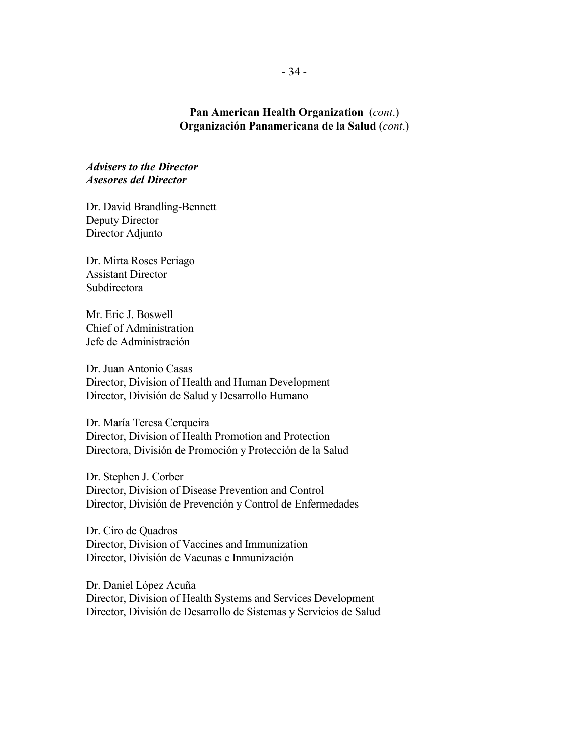## **Pan American Health Organization** (*cont*.) **Organización Panamericana de la Salud** (*cont*.)

*Advisers to the Director Asesores del Director*

Dr. David Brandling-Bennett Deputy Director Director Adjunto

Dr. Mirta Roses Periago Assistant Director Subdirectora

Mr. Eric J. Boswell Chief of Administration Jefe de Administración

Dr. Juan Antonio Casas Director, Division of Health and Human Development Director, División de Salud y Desarrollo Humano

Dr. María Teresa Cerqueira Director, Division of Health Promotion and Protection Directora, División de Promoción y Protección de la Salud

Dr. Stephen J. Corber Director, Division of Disease Prevention and Control Director, División de Prevención y Control de Enfermedades

Dr. Ciro de Quadros Director, Division of Vaccines and Immunization Director, División de Vacunas e Inmunización

Dr. Daniel López Acuña Director, Division of Health Systems and Services Development Director, División de Desarrollo de Sistemas y Servicios de Salud